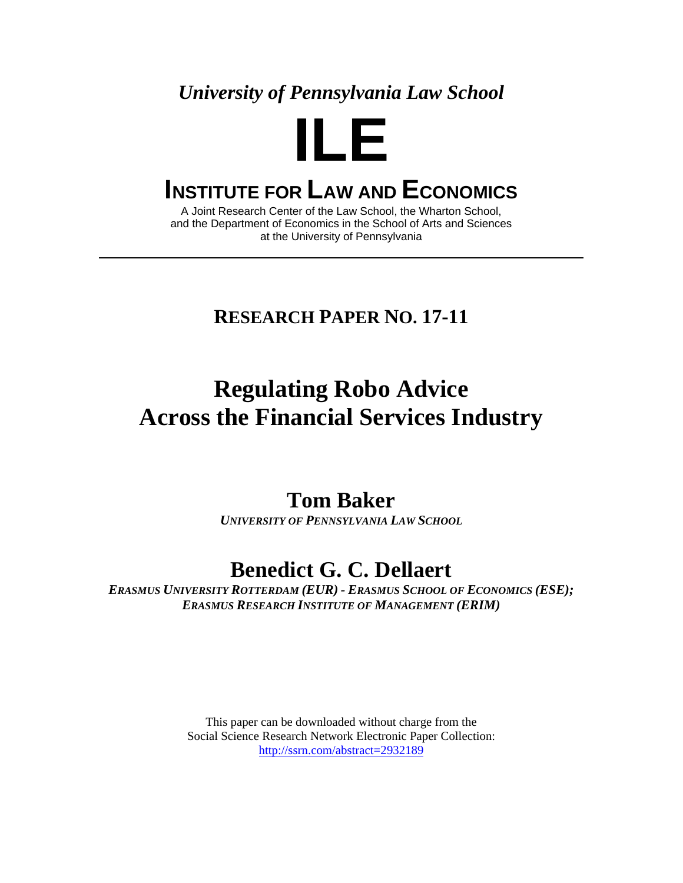*University of Pennsylvania Law School* 



# **INSTITUTE FOR LAW AND ECONOMICS**

A Joint Research Center of the Law School, the Wharton School, and the Department of Economics in the School of Arts and Sciences at the University of Pennsylvania

# **RESEARCH PAPER NO. 17-11**

# **Regulating Robo Advice Across the Financial Services Industry**

# **Tom Baker**

*UNIVERSITY OF PENNSYLVANIA LAW SCHOOL*

# **Benedict G. C. Dellaert**

*ERASMUS UNIVERSITY ROTTERDAM (EUR) - ERASMUS SCHOOL OF ECONOMICS (ESE); ERASMUS RESEARCH INSTITUTE OF MANAGEMENT (ERIM)*

> This paper can be downloaded without charge from the Social Science Research Network Electronic Paper Collection: http://ssrn.com/abstract=2932189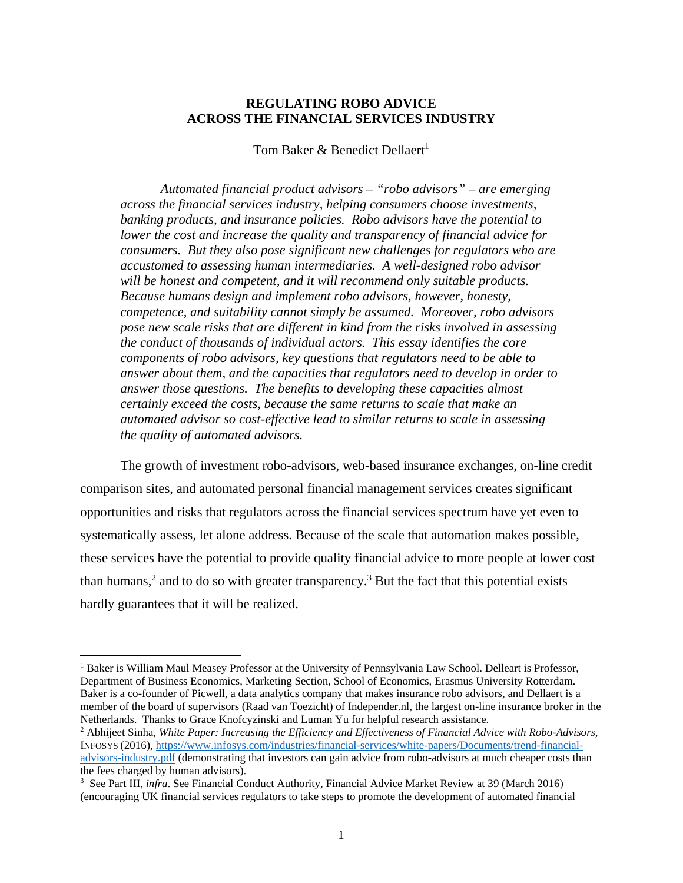# **REGULATING ROBO ADVICE ACROSS THE FINANCIAL SERVICES INDUSTRY**

Tom Baker & Benedict Dellaert<sup>1</sup>

 *Automated financial product advisors – "robo advisors" – are emerging across the financial services industry, helping consumers choose investments, banking products, and insurance policies. Robo advisors have the potential to lower the cost and increase the quality and transparency of financial advice for consumers. But they also pose significant new challenges for regulators who are accustomed to assessing human intermediaries. A well-designed robo advisor will be honest and competent, and it will recommend only suitable products. Because humans design and implement robo advisors, however, honesty, competence, and suitability cannot simply be assumed. Moreover, robo advisors pose new scale risks that are different in kind from the risks involved in assessing the conduct of thousands of individual actors. This essay identifies the core components of robo advisors, key questions that regulators need to be able to answer about them, and the capacities that regulators need to develop in order to answer those questions. The benefits to developing these capacities almost certainly exceed the costs, because the same returns to scale that make an automated advisor so cost-effective lead to similar returns to scale in assessing the quality of automated advisors.* 

The growth of investment robo-advisors, web-based insurance exchanges, on-line credit comparison sites, and automated personal financial management services creates significant opportunities and risks that regulators across the financial services spectrum have yet even to systematically assess, let alone address. Because of the scale that automation makes possible, these services have the potential to provide quality financial advice to more people at lower cost than humans,<sup>2</sup> and to do so with greater transparency.<sup>3</sup> But the fact that this potential exists hardly guarantees that it will be realized.

<sup>&</sup>lt;sup>1</sup> Baker is William Maul Measey Professor at the University of Pennsylvania Law School. Delleart is Professor, Department of Business Economics, Marketing Section, School of Economics, Erasmus University Rotterdam. Baker is a co-founder of Picwell, a data analytics company that makes insurance robo advisors, and Dellaert is a member of the board of supervisors (Raad van Toezicht) of Independer.nl, the largest on-line insurance broker in the Netherlands. Thanks to Grace Knofcyzinski and Luman Yu for helpful research assistance. 2

Abhijeet Sinha, *White Paper: Increasing the Efficiency and Effectiveness of Financial Advice with Robo-Advisors*, INFOSYS (2016), https://www.infosys.com/industries/financial-services/white-papers/Documents/trend-financialadvisors-industry.pdf (demonstrating that investors can gain advice from robo-advisors at much cheaper costs than the fees charged by human advisors).

<sup>3</sup> See Part III, *infra*. See Financial Conduct Authority, Financial Advice Market Review at 39 (March 2016) (encouraging UK financial services regulators to take steps to promote the development of automated financial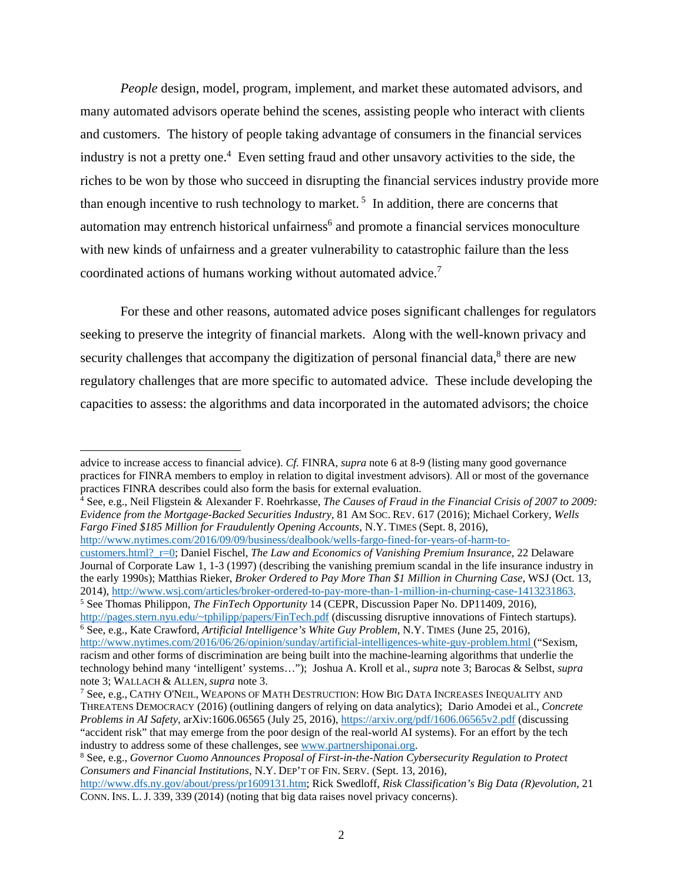*People* design, model, program, implement, and market these automated advisors, and many automated advisors operate behind the scenes, assisting people who interact with clients and customers. The history of people taking advantage of consumers in the financial services industry is not a pretty one.<sup>4</sup> Even setting fraud and other unsavory activities to the side, the riches to be won by those who succeed in disrupting the financial services industry provide more than enough incentive to rush technology to market.<sup>5</sup> In addition, there are concerns that automation may entrench historical unfairness<sup>6</sup> and promote a financial services monoculture with new kinds of unfairness and a greater vulnerability to catastrophic failure than the less coordinated actions of humans working without automated advice.7

For these and other reasons, automated advice poses significant challenges for regulators seeking to preserve the integrity of financial markets. Along with the well-known privacy and security challenges that accompany the digitization of personal financial data,<sup>8</sup> there are new regulatory challenges that are more specific to automated advice. These include developing the capacities to assess: the algorithms and data incorporated in the automated advisors; the choice

4 See, e.g., Neil Fligstein & Alexander F. Roehrkasse, *The Causes of Fraud in the Financial Crisis of 2007 to 2009: Evidence from the Mortgage-Backed Securities Industry*, 81 AM SOC. REV. 617 (2016); Michael Corkery, *Wells Fargo Fined \$185 Million for Fraudulently Opening Accounts*, N.Y. TIMES (Sept. 8, 2016), http://www.nytimes.com/2016/09/09/business/dealbook/wells-fargo-fined-for-years-of-harm-to-

http://pages.stern.nyu.edu/~tphilipp/papers/FinTech.pdf (discussing disruptive innovations of Fintech startups). See, e.g., Kate Crawford, *Artificial Intelligence's White Guy Problem*, N.Y. TIMES (June 25, 2016), http://www.nytimes.com/2016/06/26/opinion/sunday/artificial-intelligences-white-guy-problem.html ("Sexism,

advice to increase access to financial advice). *Cf.* FINRA, *supra* note 6 at 8-9 (listing many good governance practices for FINRA members to employ in relation to digital investment advisors). All or most of the governance practices FINRA describes could also form the basis for external evaluation.

customers.html?\_r=0; Daniel Fischel, *The Law and Economics of Vanishing Premium Insurance*, 22 Delaware Journal of Corporate Law 1, 1-3 (1997) (describing the vanishing premium scandal in the life insurance industry in the early 1990s); Matthias Rieker, *Broker Ordered to Pay More Than \$1 Million in Churning Case*, WSJ (Oct. 13, 2014), http://www.wsj.com/articles/broker-ordered-to-pay-more-than-1-million-in-churning-case-1413231863. 5 <sup>5</sup> See Thomas Philippon, *The FinTech Opportunity* 14 (CEPR, Discussion Paper No. DP11409, 2016),

racism and other forms of discrimination are being built into the machine-learning algorithms that underlie the technology behind many 'intelligent' systems…"); Joshua A. Kroll et al., *supra* note 3; Barocas & Selbst, *supra*  note 3; WALLACH & ALLEN, *supra* note 3. 7

See, e.g., CATHY O'NEIL, WEAPONS OF MATH DESTRUCTION: HOW BIG DATA INCREASES INEQUALITY AND THREATENS DEMOCRACY (2016) (outlining dangers of relying on data analytics); Dario Amodei et al., *Concrete Problems in AI Safety*, arXiv:1606.06565 (July 25, 2016), https://arxiv.org/pdf/1606.06565v2.pdf (discussing "accident risk" that may emerge from the poor design of the real-world AI systems). For an effort by the tech industry to address some of these challenges, see www.partnershiponai.org.

See, e.g., *Governor Cuomo Announces Proposal of First-in-the-Nation Cybersecurity Regulation to Protect Consumers and Financial Institutions*, N.Y. DEP'T OF FIN. SERV. (Sept. 13, 2016),

http://www.dfs.ny.gov/about/press/pr1609131.htm; Rick Swedloff, *Risk Classification's Big Data (R)evolution*, 21 CONN. INS. L. J. 339, 339 (2014) (noting that big data raises novel privacy concerns).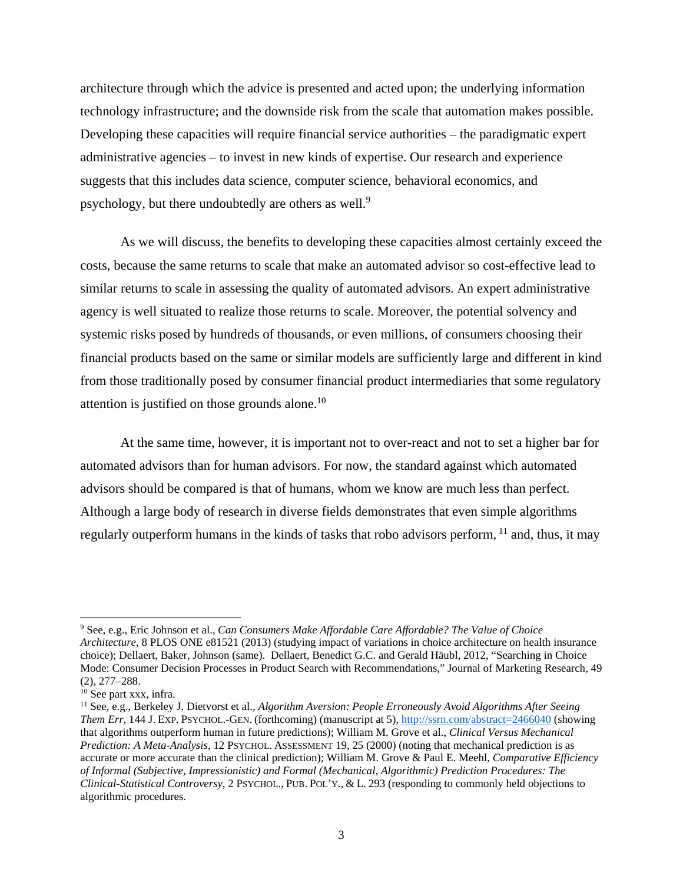architecture through which the advice is presented and acted upon; the underlying information technology infrastructure; and the downside risk from the scale that automation makes possible. Developing these capacities will require financial service authorities – the paradigmatic expert administrative agencies – to invest in new kinds of expertise. Our research and experience suggests that this includes data science, computer science, behavioral economics, and psychology, but there undoubtedly are others as well. $9$ 

As we will discuss, the benefits to developing these capacities almost certainly exceed the costs, because the same returns to scale that make an automated advisor so cost-effective lead to similar returns to scale in assessing the quality of automated advisors. An expert administrative agency is well situated to realize those returns to scale. Moreover, the potential solvency and systemic risks posed by hundreds of thousands, or even millions, of consumers choosing their financial products based on the same or similar models are sufficiently large and different in kind from those traditionally posed by consumer financial product intermediaries that some regulatory attention is justified on those grounds alone.10

At the same time, however, it is important not to over-react and not to set a higher bar for automated advisors than for human advisors. For now, the standard against which automated advisors should be compared is that of humans, whom we know are much less than perfect. Although a large body of research in diverse fields demonstrates that even simple algorithms regularly outperform humans in the kinds of tasks that robo advisors perform, <sup>11</sup> and, thus, it may

<sup>9</sup> See, e.g., Eric Johnson et al., *Can Consumers Make Affordable Care Affordable? The Value of Choice Architecture*, 8 PLOS ONE e81521 (2013) (studying impact of variations in choice architecture on health insurance choice); Dellaert, Baker, Johnson (same). Dellaert, Benedict G.C. and Gerald Häubl, 2012, "Searching in Choice Mode: Consumer Decision Processes in Product Search with Recommendations," Journal of Marketing Research, 49 (2), 277–288.

<sup>&</sup>lt;sup>10</sup> See part xxx, infra.

<sup>11</sup> See, e.g., Berkeley J. Dietvorst et al., *Algorithm Aversion: People Erroneously Avoid Algorithms After Seeing Them Err*, 144 J. EXP. PSYCHOL.-GEN. (forthcoming) (manuscript at 5), http://ssrn.com/abstract=2466040 (showing that algorithms outperform human in future predictions); William M. Grove et al., *Clinical Versus Mechanical Prediction: A Meta-Analysis*, 12 PSYCHOL. ASSESSMENT 19, 25 (2000) (noting that mechanical prediction is as accurate or more accurate than the clinical prediction); William M. Grove & Paul E. Meehl, *Comparative Efficiency of Informal (Subjective, Impressionistic) and Formal (Mechanical, Algorithmic) Prediction Procedures: The Clinical-Statistical Controversy*, 2 PSYCHOL., PUB. POL'Y., & L. 293 (responding to commonly held objections to algorithmic procedures.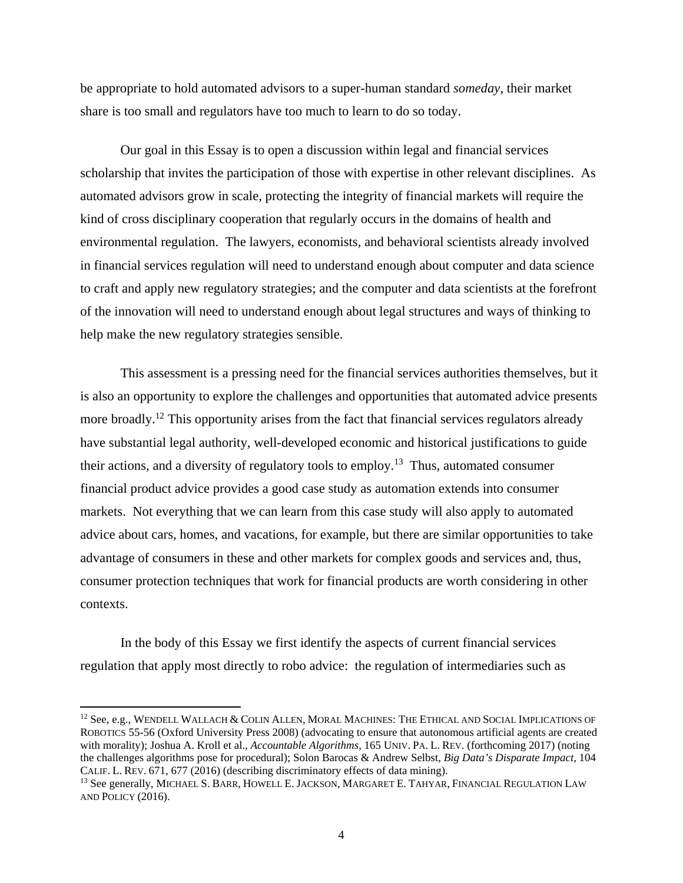be appropriate to hold automated advisors to a super-human standard *someday*, their market share is too small and regulators have too much to learn to do so today.

Our goal in this Essay is to open a discussion within legal and financial services scholarship that invites the participation of those with expertise in other relevant disciplines. As automated advisors grow in scale, protecting the integrity of financial markets will require the kind of cross disciplinary cooperation that regularly occurs in the domains of health and environmental regulation. The lawyers, economists, and behavioral scientists already involved in financial services regulation will need to understand enough about computer and data science to craft and apply new regulatory strategies; and the computer and data scientists at the forefront of the innovation will need to understand enough about legal structures and ways of thinking to help make the new regulatory strategies sensible.

This assessment is a pressing need for the financial services authorities themselves, but it is also an opportunity to explore the challenges and opportunities that automated advice presents more broadly.<sup>12</sup> This opportunity arises from the fact that financial services regulators already have substantial legal authority, well-developed economic and historical justifications to guide their actions, and a diversity of regulatory tools to employ.<sup>13</sup> Thus, automated consumer financial product advice provides a good case study as automation extends into consumer markets. Not everything that we can learn from this case study will also apply to automated advice about cars, homes, and vacations, for example, but there are similar opportunities to take advantage of consumers in these and other markets for complex goods and services and, thus, consumer protection techniques that work for financial products are worth considering in other contexts.

In the body of this Essay we first identify the aspects of current financial services regulation that apply most directly to robo advice: the regulation of intermediaries such as

<sup>&</sup>lt;sup>12</sup> See, e.g., WENDELL WALLACH & COLIN ALLEN, MORAL MACHINES: THE ETHICAL AND SOCIAL IMPLICATIONS OF ROBOTICS 55-56 (Oxford University Press 2008) (advocating to ensure that autonomous artificial agents are created with morality); Joshua A. Kroll et al., *Accountable Algorithms*, 165 UNIV. PA. L. REV. (forthcoming 2017) (noting the challenges algorithms pose for procedural); Solon Barocas & Andrew Selbst, *Big Data's Disparate Impact*, 104 CALIF. L. REV. 671, 677 (2016) (describing discriminatory effects of data mining).<br><sup>13</sup> See generally, MICHAEL S. BARR, HOWELL E. JACKSON, MARGARET E. TAHYAR, FINANCIAL REGULATION LAW

AND POLICY (2016).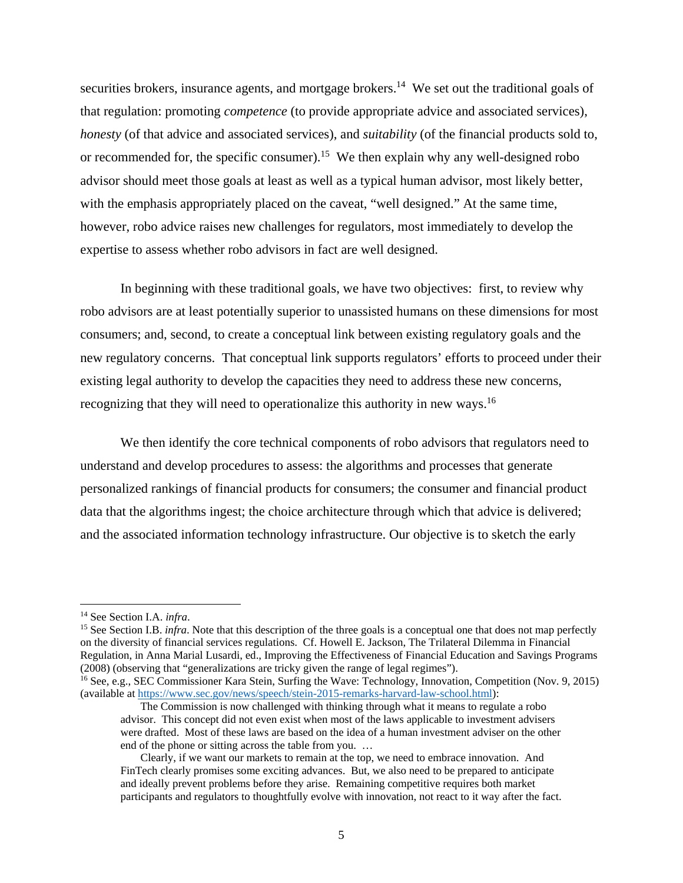securities brokers, insurance agents, and mortgage brokers.<sup>14</sup> We set out the traditional goals of that regulation: promoting *competence* (to provide appropriate advice and associated services), *honesty* (of that advice and associated services), and *suitability* (of the financial products sold to, or recommended for, the specific consumer).<sup>15</sup> We then explain why any well-designed robo advisor should meet those goals at least as well as a typical human advisor, most likely better, with the emphasis appropriately placed on the caveat, "well designed." At the same time, however, robo advice raises new challenges for regulators, most immediately to develop the expertise to assess whether robo advisors in fact are well designed.

In beginning with these traditional goals, we have two objectives: first, to review why robo advisors are at least potentially superior to unassisted humans on these dimensions for most consumers; and, second, to create a conceptual link between existing regulatory goals and the new regulatory concerns. That conceptual link supports regulators' efforts to proceed under their existing legal authority to develop the capacities they need to address these new concerns, recognizing that they will need to operationalize this authority in new ways.<sup>16</sup>

We then identify the core technical components of robo advisors that regulators need to understand and develop procedures to assess: the algorithms and processes that generate personalized rankings of financial products for consumers; the consumer and financial product data that the algorithms ingest; the choice architecture through which that advice is delivered; and the associated information technology infrastructure. Our objective is to sketch the early

<sup>14</sup> See Section I.A. *infra*.<br><sup>15</sup> See Section I.B. *infra*. Note that this description of the three goals is a conceptual one that does not map perfectly on the diversity of financial services regulations. Cf. Howell E. Jackson, The Trilateral Dilemma in Financial Regulation, in Anna Marial Lusardi, ed., Improving the Effectiveness of Financial Education and Savings Programs (2008) (observing that "generalizations are tricky given the range of legal regimes").

16 See, e.g., SEC Commissioner Kara Stein, Surfing the Wave: Technology, Innovation, Competition (Nov. 9, 2015) (available at https://www.sec.gov/news/speech/stein-2015-remarks-harvard-law-school.html):

The Commission is now challenged with thinking through what it means to regulate a robo advisor. This concept did not even exist when most of the laws applicable to investment advisers were drafted. Most of these laws are based on the idea of a human investment adviser on the other end of the phone or sitting across the table from you. …

Clearly, if we want our markets to remain at the top, we need to embrace innovation. And FinTech clearly promises some exciting advances. But, we also need to be prepared to anticipate and ideally prevent problems before they arise. Remaining competitive requires both market participants and regulators to thoughtfully evolve with innovation, not react to it way after the fact.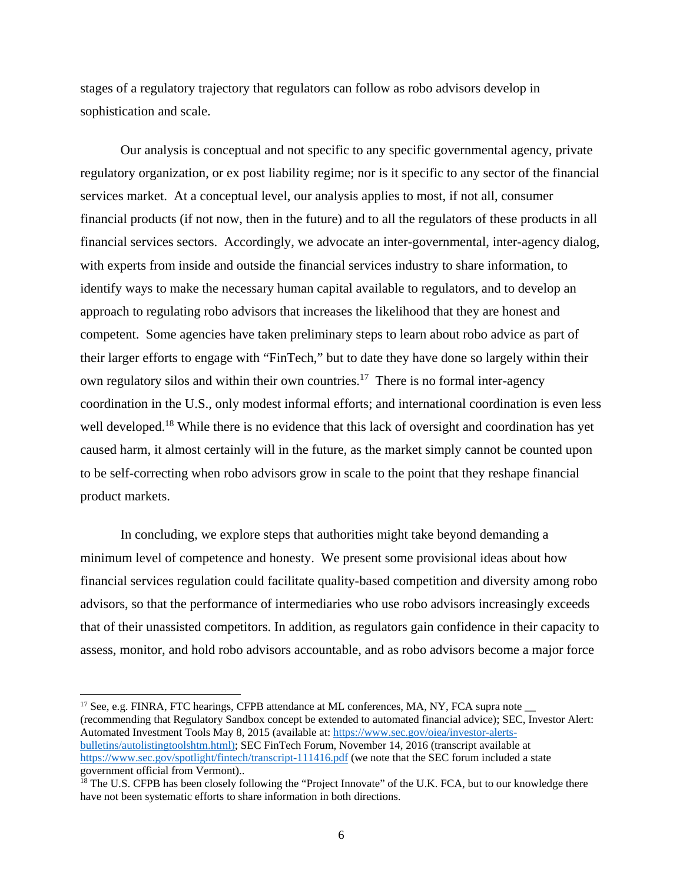stages of a regulatory trajectory that regulators can follow as robo advisors develop in sophistication and scale.

Our analysis is conceptual and not specific to any specific governmental agency, private regulatory organization, or ex post liability regime; nor is it specific to any sector of the financial services market. At a conceptual level, our analysis applies to most, if not all, consumer financial products (if not now, then in the future) and to all the regulators of these products in all financial services sectors. Accordingly, we advocate an inter-governmental, inter-agency dialog, with experts from inside and outside the financial services industry to share information, to identify ways to make the necessary human capital available to regulators, and to develop an approach to regulating robo advisors that increases the likelihood that they are honest and competent. Some agencies have taken preliminary steps to learn about robo advice as part of their larger efforts to engage with "FinTech," but to date they have done so largely within their own regulatory silos and within their own countries.<sup>17</sup> There is no formal inter-agency coordination in the U.S., only modest informal efforts; and international coordination is even less well developed.<sup>18</sup> While there is no evidence that this lack of oversight and coordination has yet caused harm, it almost certainly will in the future, as the market simply cannot be counted upon to be self-correcting when robo advisors grow in scale to the point that they reshape financial product markets.

In concluding, we explore steps that authorities might take beyond demanding a minimum level of competence and honesty. We present some provisional ideas about how financial services regulation could facilitate quality-based competition and diversity among robo advisors, so that the performance of intermediaries who use robo advisors increasingly exceeds that of their unassisted competitors. In addition, as regulators gain confidence in their capacity to assess, monitor, and hold robo advisors accountable, and as robo advisors become a major force

<sup>&</sup>lt;sup>17</sup> See, e.g. FINRA, FTC hearings, CFPB attendance at ML conferences, MA, NY, FCA supra note \_ (recommending that Regulatory Sandbox concept be extended to automated financial advice); SEC, Investor Alert: Automated Investment Tools May 8, 2015 (available at: https://www.sec.gov/oiea/investor-alertsbulletins/autolistingtoolshtm.html); SEC FinTech Forum, November 14, 2016 (transcript available at https://www.sec.gov/spotlight/fintech/transcript-111416.pdf (we note that the SEC forum included a state government official from Vermont)..

<sup>&</sup>lt;sup>18</sup> The U.S. CFPB has been closely following the "Project Innovate" of the U.K. FCA, but to our knowledge there have not been systematic efforts to share information in both directions.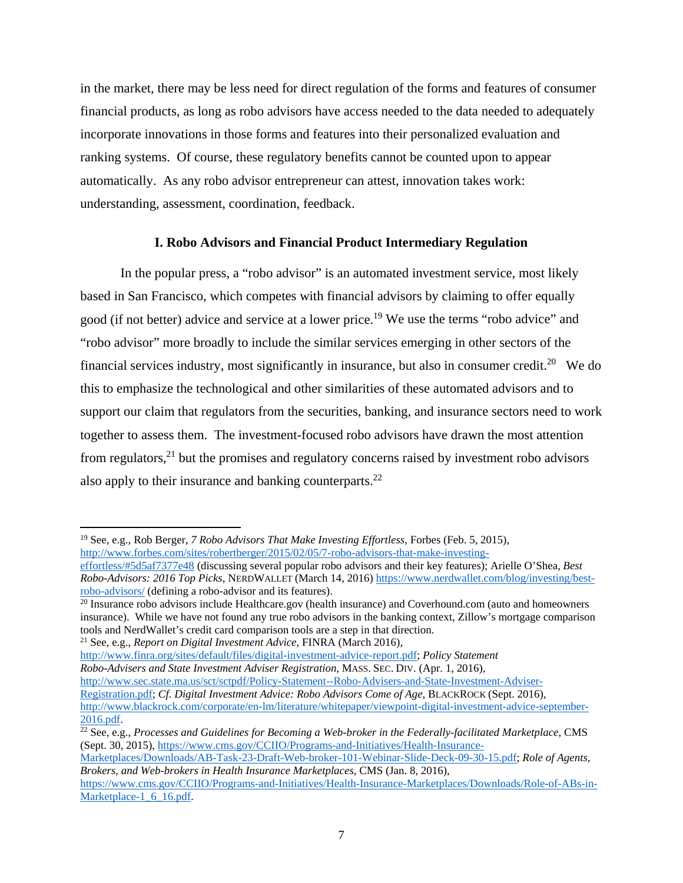in the market, there may be less need for direct regulation of the forms and features of consumer financial products, as long as robo advisors have access needed to the data needed to adequately incorporate innovations in those forms and features into their personalized evaluation and ranking systems. Of course, these regulatory benefits cannot be counted upon to appear automatically. As any robo advisor entrepreneur can attest, innovation takes work: understanding, assessment, coordination, feedback.

# **I. Robo Advisors and Financial Product Intermediary Regulation**

In the popular press, a "robo advisor" is an automated investment service, most likely based in San Francisco, which competes with financial advisors by claiming to offer equally good (if not better) advice and service at a lower price.19 We use the terms "robo advice" and "robo advisor" more broadly to include the similar services emerging in other sectors of the financial services industry, most significantly in insurance, but also in consumer credit.<sup>20</sup> We do this to emphasize the technological and other similarities of these automated advisors and to support our claim that regulators from the securities, banking, and insurance sectors need to work together to assess them. The investment-focused robo advisors have drawn the most attention from regulators,  $2^{1}$  but the promises and regulatory concerns raised by investment robo advisors also apply to their insurance and banking counterparts.<sup>22</sup>

*Robo-Advisers and State Investment Adviser Registration*, MASS. SEC. DIV. (Apr. 1, 2016),

 19 See, e.g., Rob Berger, *7 Robo Advisors That Make Investing Effortless*, Forbes (Feb. 5, 2015), http://www.forbes.com/sites/robertberger/2015/02/05/7-robo-advisors-that-make-investing-

effortless/#5d5af7377e48 (discussing several popular robo advisors and their key features); Arielle O'Shea, *Best Robo-Advisors: 2016 Top Picks*, NERDWALLET (March 14, 2016) https://www.nerdwallet.com/blog/investing/best- $\frac{\text{robo-advisors/}}{20}$  Insurance robo advisors include Healthcare.gov (health insurance) and Coverhound.com (auto and homeowners

insurance). While we have not found any true robo advisors in the banking context, Zillow's mortgage comparison tools and NerdWallet's credit card comparison tools are a step in that direction. 21 See, e.g., *Report on Digital Investment Advice*, FINRA (March 2016),

http://www.finra.org/sites/default/files/digital-investment-advice-report.pdf; *Policy Statement* 

http://www.sec.state.ma.us/sct/sctpdf/Policy-Statement--Robo-Advisers-and-State-Investment-Adviser-Registration.pdf; *Cf. Digital Investment Advice: Robo Advisors Come of Age*, BLACKROCK (Sept. 2016),

http://www.blackrock.com/corporate/en-lm/literature/whitepaper/viewpoint-digital-investment-advice-september-

<sup>2016.</sup>pdf. 22 See, e.g., *Processes and Guidelines for Becoming a Web-broker in the Federally-facilitated Marketplace*, CMS (Sept. 30, 2015), https://www.cms.gov/CCIIO/Programs-and-Initiatives/Health-Insurance-

Marketplaces/Downloads/AB-Task-23-Draft-Web-broker-101-Webinar-Slide-Deck-09-30-15.pdf; *Role of Agents, Brokers, and Web-brokers in Health Insurance Marketplaces*, CMS (Jan. 8, 2016),

https://www.cms.gov/CCIIO/Programs-and-Initiatives/Health-Insurance-Marketplaces/Downloads/Role-of-ABs-in-Marketplace-1\_6\_16.pdf.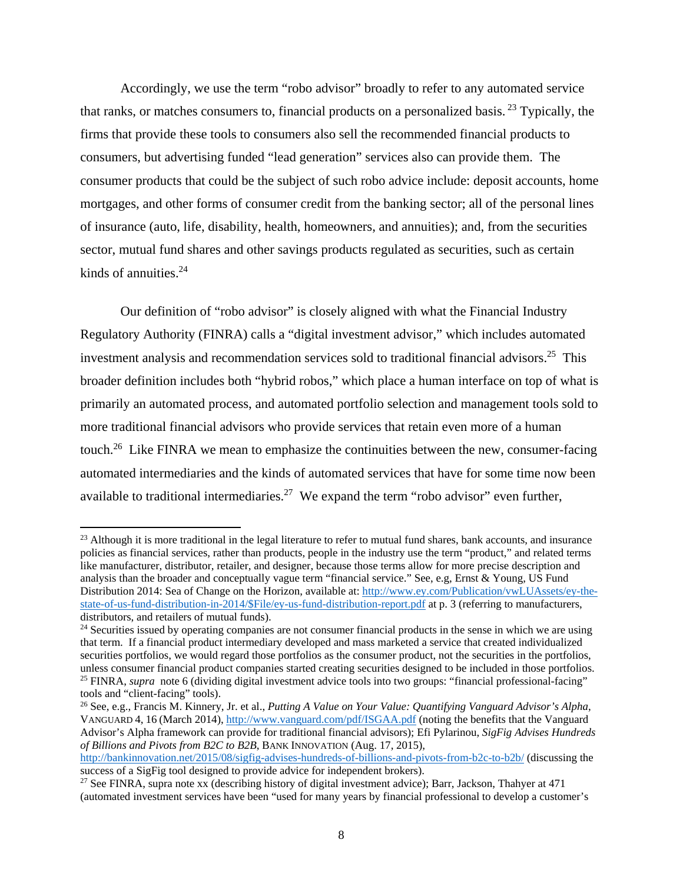Accordingly, we use the term "robo advisor" broadly to refer to any automated service that ranks, or matches consumers to, financial products on a personalized basis. <sup>23</sup> Typically, the firms that provide these tools to consumers also sell the recommended financial products to consumers, but advertising funded "lead generation" services also can provide them. The consumer products that could be the subject of such robo advice include: deposit accounts, home mortgages, and other forms of consumer credit from the banking sector; all of the personal lines of insurance (auto, life, disability, health, homeowners, and annuities); and, from the securities sector, mutual fund shares and other savings products regulated as securities, such as certain kinds of annuities. $24$ 

Our definition of "robo advisor" is closely aligned with what the Financial Industry Regulatory Authority (FINRA) calls a "digital investment advisor," which includes automated investment analysis and recommendation services sold to traditional financial advisors.<sup>25</sup> This broader definition includes both "hybrid robos," which place a human interface on top of what is primarily an automated process, and automated portfolio selection and management tools sold to more traditional financial advisors who provide services that retain even more of a human touch.<sup>26</sup> Like FINRA we mean to emphasize the continuities between the new, consumer-facing automated intermediaries and the kinds of automated services that have for some time now been available to traditional intermediaries.<sup>27</sup> We expand the term "robo advisor" even further,

 $23$  Although it is more traditional in the legal literature to refer to mutual fund shares, bank accounts, and insurance policies as financial services, rather than products, people in the industry use the term "product," and related terms like manufacturer, distributor, retailer, and designer, because those terms allow for more precise description and analysis than the broader and conceptually vague term "financial service." See, e.g, Ernst & Young, US Fund Distribution 2014: Sea of Change on the Horizon, available at: http://www.ey.com/Publication/vwLUAssets/ey-thestate-of-us-fund-distribution-in-2014/\$File/ey-us-fund-distribution-report.pdf at p. 3 (referring to manufacturers, distributors, and retailers of mutual funds).

<sup>&</sup>lt;sup>24</sup> Securities issued by operating companies are not consumer financial products in the sense in which we are using that term. If a financial product intermediary developed and mass marketed a service that created individualized securities portfolios, we would regard those portfolios as the consumer product, not the securities in the portfolios, unless consumer financial product companies started creating securities designed to be included in those portfolios.<br><sup>25</sup> FINRA, *supra* note 6 (dividing digital investment advice tools into two groups: "financial professi

tools and "client-facing" tools).

<sup>26</sup> See, e.g., Francis M. Kinnery, Jr. et al., *Putting A Value on Your Value: Quantifying Vanguard Advisor's Alpha*, VANGUARD 4, 16 (March 2014), http://www.vanguard.com/pdf/ISGAA.pdf (noting the benefits that the Vanguard Advisor's Alpha framework can provide for traditional financial advisors); Efi Pylarinou, *SigFig Advises Hundreds of Billions and Pivots from B2C to B2B*, BANK INNOVATION (Aug. 17, 2015),

http://bankinnovation.net/2015/08/sigfig-advises-hundreds-of-billions-and-pivots-from-b2c-to-b2b/ (discussing the success of a SigFig tool designed to provide advice for independent brokers).

<sup>&</sup>lt;sup>27</sup> See FINRA, supra note xx (describing history of digital investment advice); Barr, Jackson, Thahyer at 471 (automated investment services have been "used for many years by financial professional to develop a customer's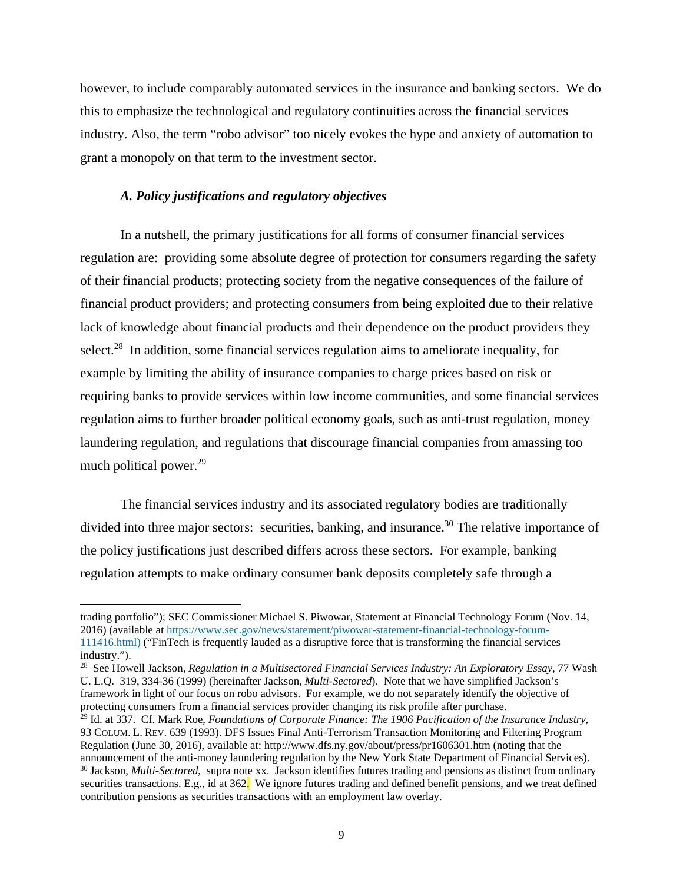however, to include comparably automated services in the insurance and banking sectors. We do this to emphasize the technological and regulatory continuities across the financial services industry. Also, the term "robo advisor" too nicely evokes the hype and anxiety of automation to grant a monopoly on that term to the investment sector.

## *A. Policy justifications and regulatory objectives*

In a nutshell, the primary justifications for all forms of consumer financial services regulation are: providing some absolute degree of protection for consumers regarding the safety of their financial products; protecting society from the negative consequences of the failure of financial product providers; and protecting consumers from being exploited due to their relative lack of knowledge about financial products and their dependence on the product providers they select.<sup>28</sup> In addition, some financial services regulation aims to ameliorate inequality, for example by limiting the ability of insurance companies to charge prices based on risk or requiring banks to provide services within low income communities, and some financial services regulation aims to further broader political economy goals, such as anti-trust regulation, money laundering regulation, and regulations that discourage financial companies from amassing too much political power.<sup>29</sup>

The financial services industry and its associated regulatory bodies are traditionally divided into three major sectors: securities, banking, and insurance.<sup>30</sup> The relative importance of the policy justifications just described differs across these sectors. For example, banking regulation attempts to make ordinary consumer bank deposits completely safe through a

trading portfolio"); SEC Commissioner Michael S. Piwowar, Statement at Financial Technology Forum (Nov. 14, 2016) (available at https://www.sec.gov/news/statement/piwowar-statement-financial-technology-forum-111416.html) ("FinTech is frequently lauded as a disruptive force that is transforming the financial services industry.").

<sup>28</sup> See Howell Jackson, *Regulation in a Multisectored Financial Services Industry: An Exploratory Essay*, 77 Wash U. L.Q. 319, 334-36 (1999) (hereinafter Jackson, *Multi-Sectored*). Note that we have simplified Jackson's framework in light of our focus on robo advisors. For example, we do not separately identify the objective of protecting consumers from a financial services provider changing its risk profile after purchase.

<sup>29</sup> Id. at 337. Cf. Mark Roe, *Foundations of Corporate Finance: The 1906 Pacification of the Insurance Industry*, 93 COLUM. L. REV. 639 (1993). DFS Issues Final Anti-Terrorism Transaction Monitoring and Filtering Program Regulation (June 30, 2016), available at: http://www.dfs.ny.gov/about/press/pr1606301.htm (noting that the announcement of the anti-money laundering regulation by the New York State Department of Financial Services). 30 Jackson, *Multi-Sectored*, supra note xx. Jackson identifies futures trading and pensions as distinct from ordinary securities transactions. E.g., id at 362. We ignore futures trading and defined benefit pensions, and we treat defined contribution pensions as securities transactions with an employment law overlay.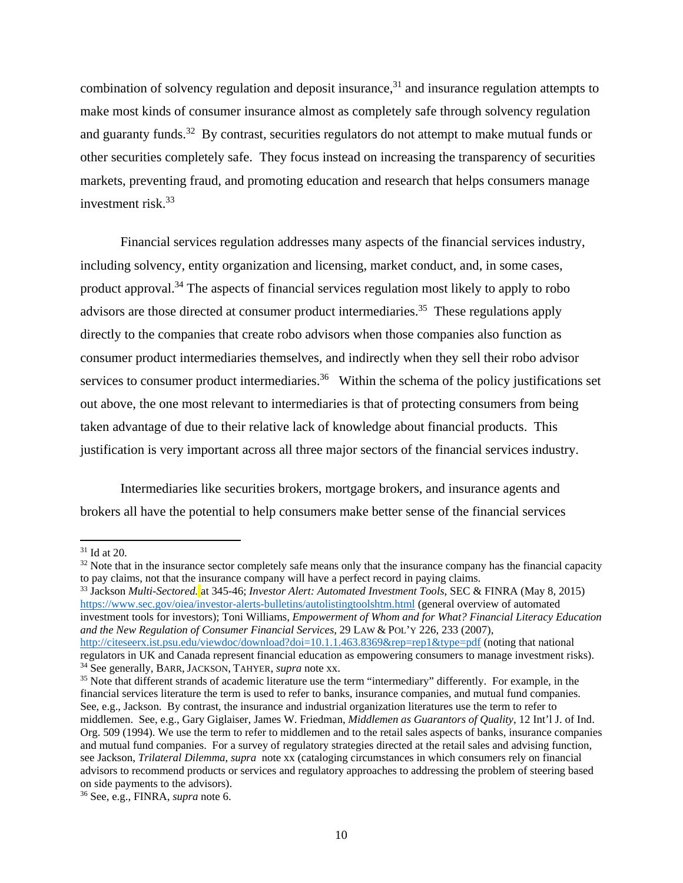combination of solvency regulation and deposit insurance, $31$  and insurance regulation attempts to make most kinds of consumer insurance almost as completely safe through solvency regulation and guaranty funds.<sup>32</sup> By contrast, securities regulators do not attempt to make mutual funds or other securities completely safe. They focus instead on increasing the transparency of securities markets, preventing fraud, and promoting education and research that helps consumers manage investment risk.33

Financial services regulation addresses many aspects of the financial services industry, including solvency, entity organization and licensing, market conduct, and, in some cases, product approval.34 The aspects of financial services regulation most likely to apply to robo advisors are those directed at consumer product intermediaries.<sup>35</sup> These regulations apply directly to the companies that create robo advisors when those companies also function as consumer product intermediaries themselves, and indirectly when they sell their robo advisor services to consumer product intermediaries.<sup>36</sup> Within the schema of the policy justifications set out above, the one most relevant to intermediaries is that of protecting consumers from being taken advantage of due to their relative lack of knowledge about financial products. This justification is very important across all three major sectors of the financial services industry.

Intermediaries like securities brokers, mortgage brokers, and insurance agents and brokers all have the potential to help consumers make better sense of the financial services

33 Jackson *Multi-Sectored.* at 345-46; *Investor Alert: Automated Investment Tools*, SEC & FINRA (May 8, 2015) https://www.sec.gov/oiea/investor-alerts-bulletins/autolistingtoolshtm.html (general overview of automated investment tools for investors); Toni Williams, *Empowerment of Whom and for What? Financial Literacy Education and the New Regulation of Consumer Financial Services*, 29 LAW & POL'Y 226, 233 (2007), http://citeseerx.ist.psu.edu/viewdoc/download?doi=10.1.1.463.8369&rep=rep1&type=pdf (noting that national

<sup>31</sup> Id at 20.

<sup>&</sup>lt;sup>32</sup> Note that in the insurance sector completely safe means only that the insurance company has the financial capacity to pay claims, not that the insurance company will have a perfect record in paying claims.

regulators in UK and Canada represent financial education as empowering consumers to manage investment risks).<br><sup>34</sup> See generally, BARR, JACKSON, TAHYER, *supra* note xx.

<sup>&</sup>lt;sup>35</sup> Note that different strands of academic literature use the term "intermediary" differently. For example, in the financial services literature the term is used to refer to banks, insurance companies, and mutual fund companies. See, e.g., Jackson. By contrast, the insurance and industrial organization literatures use the term to refer to middlemen. See, e.g., Gary Giglaiser, James W. Friedman, *Middlemen as Guarantors of Quality*, 12 Int'l J. of Ind. Org. 509 (1994). We use the term to refer to middlemen and to the retail sales aspects of banks, insurance companies and mutual fund companies. For a survey of regulatory strategies directed at the retail sales and advising function, see Jackson, *Trilateral Dilemma*, *supra* note xx (cataloging circumstances in which consumers rely on financial advisors to recommend products or services and regulatory approaches to addressing the problem of steering based on side payments to the advisors).

<sup>36</sup> See, e.g., FINRA, *supra* note 6.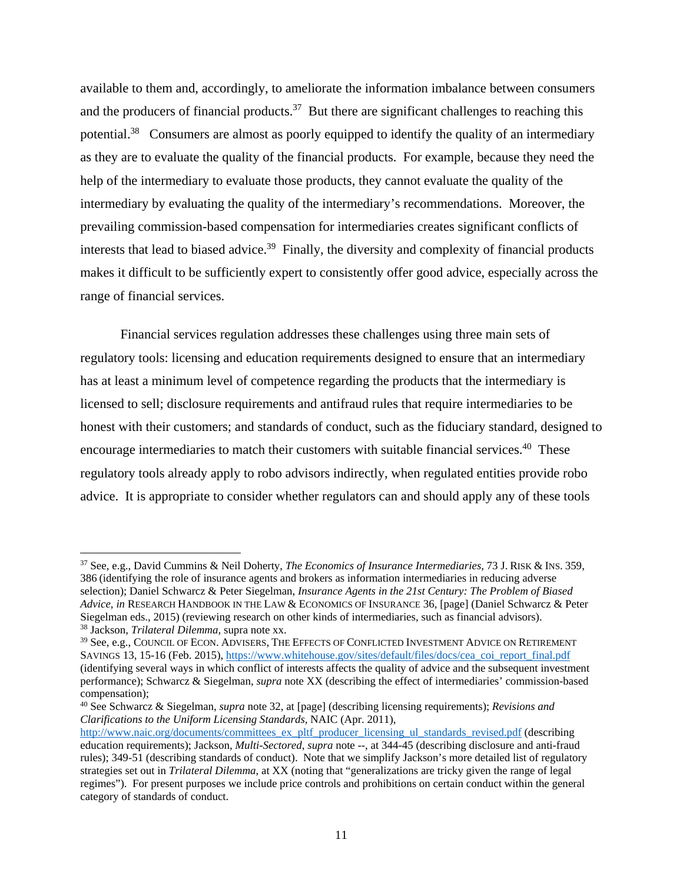available to them and, accordingly, to ameliorate the information imbalance between consumers and the producers of financial products.<sup>37</sup> But there are significant challenges to reaching this potential.<sup>38</sup> Consumers are almost as poorly equipped to identify the quality of an intermediary as they are to evaluate the quality of the financial products. For example, because they need the help of the intermediary to evaluate those products, they cannot evaluate the quality of the intermediary by evaluating the quality of the intermediary's recommendations. Moreover, the prevailing commission-based compensation for intermediaries creates significant conflicts of interests that lead to biased advice.<sup>39</sup> Finally, the diversity and complexity of financial products makes it difficult to be sufficiently expert to consistently offer good advice, especially across the range of financial services.

Financial services regulation addresses these challenges using three main sets of regulatory tools: licensing and education requirements designed to ensure that an intermediary has at least a minimum level of competence regarding the products that the intermediary is licensed to sell; disclosure requirements and antifraud rules that require intermediaries to be honest with their customers; and standards of conduct, such as the fiduciary standard, designed to encourage intermediaries to match their customers with suitable financial services.<sup>40</sup> These regulatory tools already apply to robo advisors indirectly, when regulated entities provide robo advice. It is appropriate to consider whether regulators can and should apply any of these tools

<sup>37</sup> See, e.g., David Cummins & Neil Doherty, *The Economics of Insurance Intermediaries*, 73 J. RISK & INS. 359, 386 (identifying the role of insurance agents and brokers as information intermediaries in reducing adverse selection); Daniel Schwarcz & Peter Siegelman, *Insurance Agents in the 21st Century: The Problem of Biased Advice*, *in* RESEARCH HANDBOOK IN THE LAW & ECONOMICS OF INSURANCE 36, [page] (Daniel Schwarcz & Peter Siegelman eds., 2015) (reviewing research on other kinds of intermediaries, such as financial advisors).

<sup>38</sup> Jackson, *Trilateral Dilemma,* supra note xx.

<sup>39</sup> See, e.g., COUNCIL OF ECON. ADVISERS, THE EFFECTS OF CONFLICTED INVESTMENT ADVICE ON RETIREMENT SAVINGS 13, 15-16 (Feb. 2015), https://www.whitehouse.gov/sites/default/files/docs/cea\_coi\_report\_final.pdf (identifying several ways in which conflict of interests affects the quality of advice and the subsequent investment performance); Schwarcz & Siegelman, *supra* note XX (describing the effect of intermediaries' commission-based compensation);

<sup>40</sup> See Schwarcz & Siegelman, *supra* note 32, at [page] (describing licensing requirements); *Revisions and Clarifications to the Uniform Licensing Standards*, NAIC (Apr. 2011),

http://www.naic.org/documents/committees\_ex\_pltf\_producer\_licensing\_ul\_standards\_revised.pdf (describing education requirements); Jackson, *Multi-Sectored*, *supra* note --, at 344-45 (describing disclosure and anti-fraud rules); 349-51 (describing standards of conduct). Note that we simplify Jackson's more detailed list of regulatory strategies set out in *Trilateral Dilemma*, at XX (noting that "generalizations are tricky given the range of legal regimes"). For present purposes we include price controls and prohibitions on certain conduct within the general category of standards of conduct.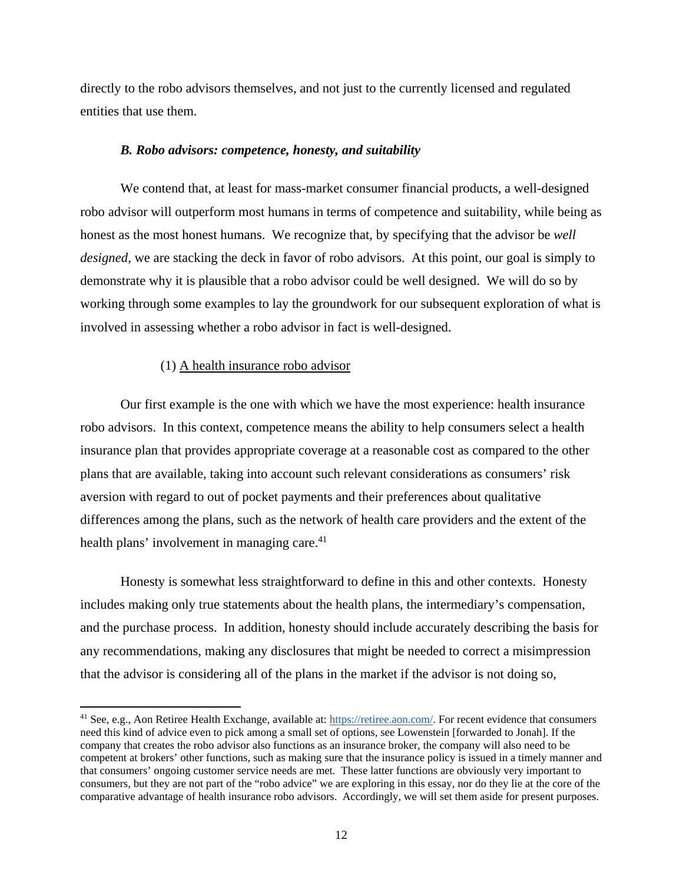directly to the robo advisors themselves, and not just to the currently licensed and regulated entities that use them.

#### *B. Robo advisors: competence, honesty, and suitability*

We contend that, at least for mass-market consumer financial products, a well-designed robo advisor will outperform most humans in terms of competence and suitability, while being as honest as the most honest humans. We recognize that, by specifying that the advisor be *well designed*, we are stacking the deck in favor of robo advisors. At this point, our goal is simply to demonstrate why it is plausible that a robo advisor could be well designed. We will do so by working through some examples to lay the groundwork for our subsequent exploration of what is involved in assessing whether a robo advisor in fact is well-designed.

### (1) A health insurance robo advisor

Our first example is the one with which we have the most experience: health insurance robo advisors. In this context, competence means the ability to help consumers select a health insurance plan that provides appropriate coverage at a reasonable cost as compared to the other plans that are available, taking into account such relevant considerations as consumers' risk aversion with regard to out of pocket payments and their preferences about qualitative differences among the plans, such as the network of health care providers and the extent of the health plans' involvement in managing care.<sup>41</sup>

Honesty is somewhat less straightforward to define in this and other contexts. Honesty includes making only true statements about the health plans, the intermediary's compensation, and the purchase process. In addition, honesty should include accurately describing the basis for any recommendations, making any disclosures that might be needed to correct a misimpression that the advisor is considering all of the plans in the market if the advisor is not doing so,

<sup>&</sup>lt;sup>41</sup> See, e.g., Aon Retiree Health Exchange, available at: https://retiree.aon.com/. For recent evidence that consumers need this kind of advice even to pick among a small set of options, see Lowenstein [forwarded to Jonah]. If the company that creates the robo advisor also functions as an insurance broker, the company will also need to be competent at brokers' other functions, such as making sure that the insurance policy is issued in a timely manner and that consumers' ongoing customer service needs are met. These latter functions are obviously very important to consumers, but they are not part of the "robo advice" we are exploring in this essay, nor do they lie at the core of the comparative advantage of health insurance robo advisors. Accordingly, we will set them aside for present purposes.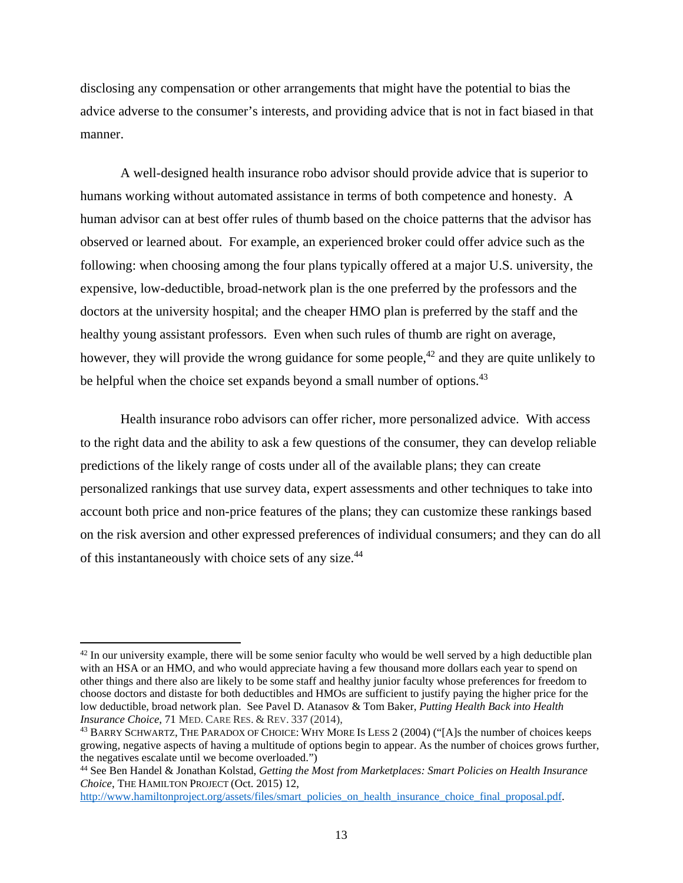disclosing any compensation or other arrangements that might have the potential to bias the advice adverse to the consumer's interests, and providing advice that is not in fact biased in that manner.

A well-designed health insurance robo advisor should provide advice that is superior to humans working without automated assistance in terms of both competence and honesty. A human advisor can at best offer rules of thumb based on the choice patterns that the advisor has observed or learned about. For example, an experienced broker could offer advice such as the following: when choosing among the four plans typically offered at a major U.S. university, the expensive, low-deductible, broad-network plan is the one preferred by the professors and the doctors at the university hospital; and the cheaper HMO plan is preferred by the staff and the healthy young assistant professors. Even when such rules of thumb are right on average, however, they will provide the wrong guidance for some people,  $42$  and they are quite unlikely to be helpful when the choice set expands beyond a small number of options.<sup>43</sup>

Health insurance robo advisors can offer richer, more personalized advice. With access to the right data and the ability to ask a few questions of the consumer, they can develop reliable predictions of the likely range of costs under all of the available plans; they can create personalized rankings that use survey data, expert assessments and other techniques to take into account both price and non-price features of the plans; they can customize these rankings based on the risk aversion and other expressed preferences of individual consumers; and they can do all of this instantaneously with choice sets of any size.44

 $42$  In our university example, there will be some senior faculty who would be well served by a high deductible plan with an HSA or an HMO, and who would appreciate having a few thousand more dollars each year to spend on other things and there also are likely to be some staff and healthy junior faculty whose preferences for freedom to choose doctors and distaste for both deductibles and HMOs are sufficient to justify paying the higher price for the low deductible, broad network plan. See Pavel D. Atanasov & Tom Baker, *Putting Health Back into Health Insurance Choice*, 71 MED. CARE RES. & REV. 337 (2014),<br><sup>43</sup> BARRY SCHWARTZ, THE PARADOX OF CHOICE: WHY MORE IS LESS 2 (2004) ("[A]s the number of choices keeps

growing, negative aspects of having a multitude of options begin to appear. As the number of choices grows further, the negatives escalate until we become overloaded.")

<sup>44</sup> See Ben Handel & Jonathan Kolstad, *Getting the Most from Marketplaces: Smart Policies on Health Insurance Choice*, THE HAMILTON PROJECT (Oct. 2015) 12,

http://www.hamiltonproject.org/assets/files/smart\_policies\_on\_health\_insurance\_choice\_final\_proposal.pdf.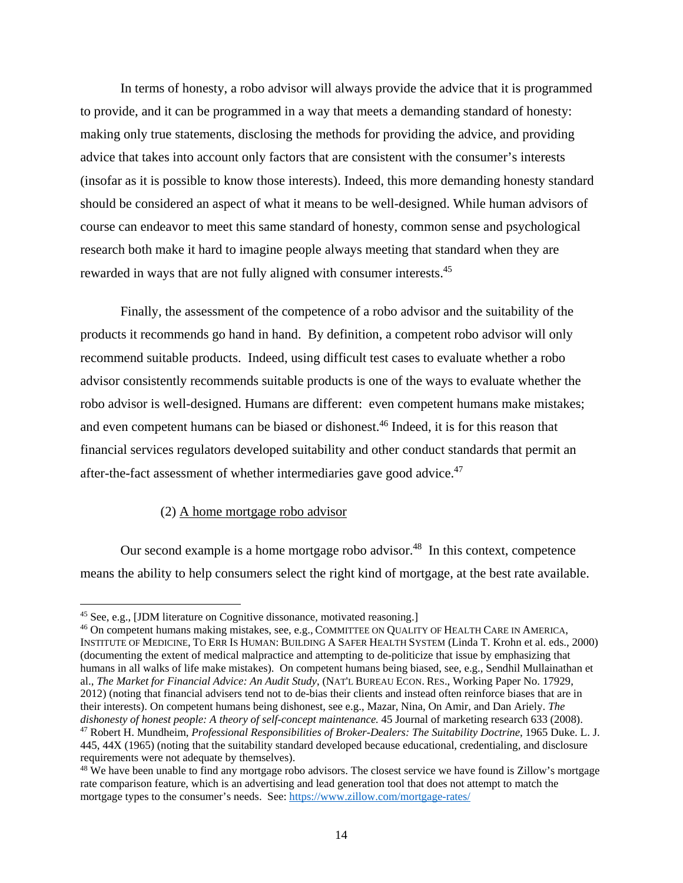In terms of honesty, a robo advisor will always provide the advice that it is programmed to provide, and it can be programmed in a way that meets a demanding standard of honesty: making only true statements, disclosing the methods for providing the advice, and providing advice that takes into account only factors that are consistent with the consumer's interests (insofar as it is possible to know those interests). Indeed, this more demanding honesty standard should be considered an aspect of what it means to be well-designed. While human advisors of course can endeavor to meet this same standard of honesty, common sense and psychological research both make it hard to imagine people always meeting that standard when they are rewarded in ways that are not fully aligned with consumer interests.45

Finally, the assessment of the competence of a robo advisor and the suitability of the products it recommends go hand in hand. By definition, a competent robo advisor will only recommend suitable products. Indeed, using difficult test cases to evaluate whether a robo advisor consistently recommends suitable products is one of the ways to evaluate whether the robo advisor is well-designed. Humans are different: even competent humans make mistakes; and even competent humans can be biased or dishonest.<sup>46</sup> Indeed, it is for this reason that financial services regulators developed suitability and other conduct standards that permit an after-the-fact assessment of whether intermediaries gave good advice.<sup>47</sup>

# (2) A home mortgage robo advisor

Our second example is a home mortgage robo advisor.<sup>48</sup> In this context, competence means the ability to help consumers select the right kind of mortgage, at the best rate available.

<sup>&</sup>lt;sup>45</sup> See, e.g., [JDM literature on Cognitive dissonance, motivated reasoning.]<br><sup>46</sup> On competent humans making mistakes, see, e.g., COMMITTEE ON QUALITY OF HEALTH CARE IN AMERICA, INSTITUTE OF MEDICINE, TO ERR IS HUMAN: BUILDING A SAFER HEALTH SYSTEM (Linda T. Krohn et al. eds., 2000) (documenting the extent of medical malpractice and attempting to de-politicize that issue by emphasizing that humans in all walks of life make mistakes). On competent humans being biased, see, e.g., Sendhil Mullainathan et al., *The Market for Financial Advice: An Audit Study*, (NAT'L BUREAU ECON. RES., Working Paper No. 17929, 2012) (noting that financial advisers tend not to de-bias their clients and instead often reinforce biases that are in their interests). On competent humans being dishonest, see e.g., Mazar, Nina, On Amir, and Dan Ariely. *The*  dishonesty of honest people: A theory of self-concept maintenance. 45 Journal of marketing research 633 (2008).<br><sup>47</sup> Robert H. Mundheim, *Professional Responsibilities of Broker-Dealers: The Suitability Doctrine*, 1965 Duk 445, 44X (1965) (noting that the suitability standard developed because educational, credentialing, and disclosure

requirements were not adequate by themselves). <sup>48</sup> We have been unable to find any mortgage robo advisors. The closest service we have found is Zillow's mortgage rate comparison feature, which is an advertising and lead generation tool that does not attempt to match the mortgage types to the consumer's needs. See: https://www.zillow.com/mortgage-rates/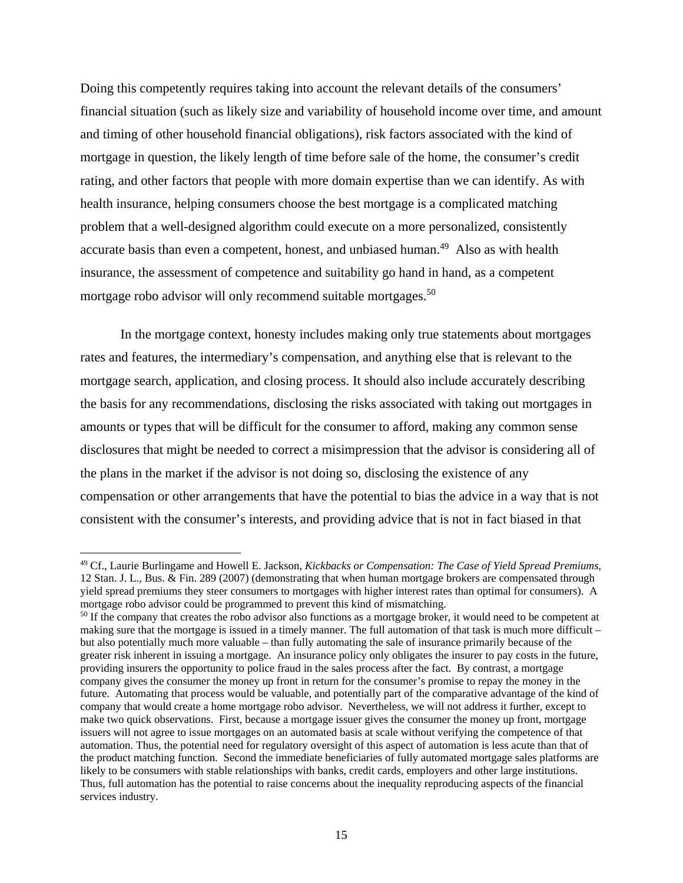Doing this competently requires taking into account the relevant details of the consumers' financial situation (such as likely size and variability of household income over time, and amount and timing of other household financial obligations), risk factors associated with the kind of mortgage in question, the likely length of time before sale of the home, the consumer's credit rating, and other factors that people with more domain expertise than we can identify. As with health insurance, helping consumers choose the best mortgage is a complicated matching problem that a well-designed algorithm could execute on a more personalized, consistently accurate basis than even a competent, honest, and unbiased human.<sup>49</sup> Also as with health insurance, the assessment of competence and suitability go hand in hand, as a competent mortgage robo advisor will only recommend suitable mortgages.<sup>50</sup>

In the mortgage context, honesty includes making only true statements about mortgages rates and features, the intermediary's compensation, and anything else that is relevant to the mortgage search, application, and closing process. It should also include accurately describing the basis for any recommendations, disclosing the risks associated with taking out mortgages in amounts or types that will be difficult for the consumer to afford, making any common sense disclosures that might be needed to correct a misimpression that the advisor is considering all of the plans in the market if the advisor is not doing so, disclosing the existence of any compensation or other arrangements that have the potential to bias the advice in a way that is not consistent with the consumer's interests, and providing advice that is not in fact biased in that

<sup>49</sup> Cf., Laurie Burlingame and Howell E. Jackson, *Kickbacks or Compensation: The Case of Yield Spread Premiums*, 12 Stan. J. L., Bus. & Fin. 289 (2007) (demonstrating that when human mortgage brokers are compensated through yield spread premiums they steer consumers to mortgages with higher interest rates than optimal for consumers). A mortgage robo advisor could be programmed to prevent this kind of mismatching.

<sup>&</sup>lt;sup>50</sup> If the company that creates the robo advisor also functions as a mortgage broker, it would need to be competent at making sure that the mortgage is issued in a timely manner. The full automation of that task is much more difficult – but also potentially much more valuable – than fully automating the sale of insurance primarily because of the greater risk inherent in issuing a mortgage. An insurance policy only obligates the insurer to pay costs in the future, providing insurers the opportunity to police fraud in the sales process after the fact. By contrast, a mortgage company gives the consumer the money up front in return for the consumer's promise to repay the money in the future. Automating that process would be valuable, and potentially part of the comparative advantage of the kind of company that would create a home mortgage robo advisor. Nevertheless, we will not address it further, except to make two quick observations. First, because a mortgage issuer gives the consumer the money up front, mortgage issuers will not agree to issue mortgages on an automated basis at scale without verifying the competence of that automation. Thus, the potential need for regulatory oversight of this aspect of automation is less acute than that of the product matching function. Second the immediate beneficiaries of fully automated mortgage sales platforms are likely to be consumers with stable relationships with banks, credit cards, employers and other large institutions. Thus, full automation has the potential to raise concerns about the inequality reproducing aspects of the financial services industry.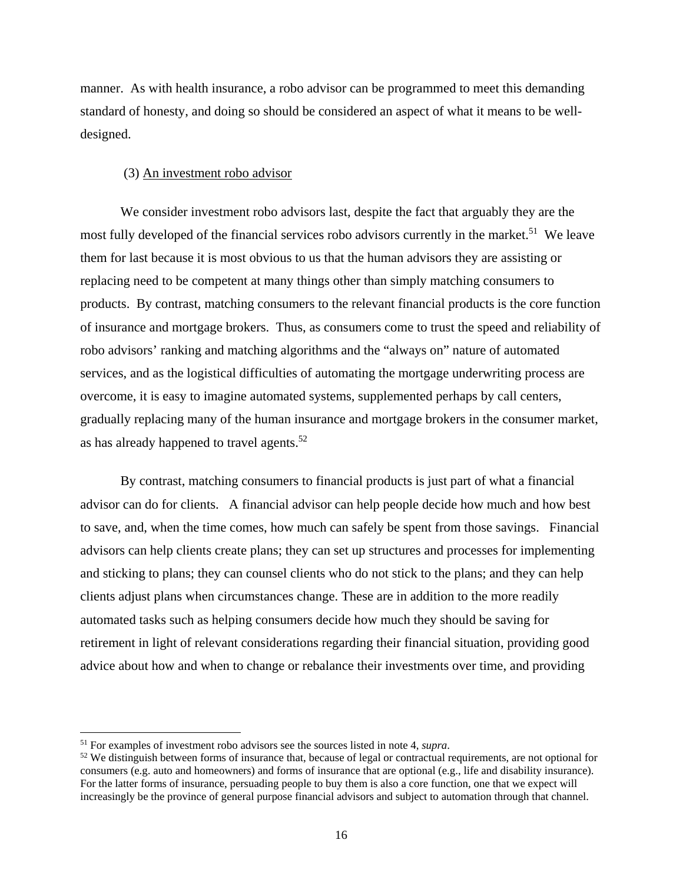manner. As with health insurance, a robo advisor can be programmed to meet this demanding standard of honesty, and doing so should be considered an aspect of what it means to be welldesigned.

## (3) An investment robo advisor

We consider investment robo advisors last, despite the fact that arguably they are the most fully developed of the financial services robo advisors currently in the market.<sup>51</sup> We leave them for last because it is most obvious to us that the human advisors they are assisting or replacing need to be competent at many things other than simply matching consumers to products. By contrast, matching consumers to the relevant financial products is the core function of insurance and mortgage brokers. Thus, as consumers come to trust the speed and reliability of robo advisors' ranking and matching algorithms and the "always on" nature of automated services, and as the logistical difficulties of automating the mortgage underwriting process are overcome, it is easy to imagine automated systems, supplemented perhaps by call centers, gradually replacing many of the human insurance and mortgage brokers in the consumer market, as has already happened to travel agents.<sup>52</sup>

By contrast, matching consumers to financial products is just part of what a financial advisor can do for clients. A financial advisor can help people decide how much and how best to save, and, when the time comes, how much can safely be spent from those savings. Financial advisors can help clients create plans; they can set up structures and processes for implementing and sticking to plans; they can counsel clients who do not stick to the plans; and they can help clients adjust plans when circumstances change. These are in addition to the more readily automated tasks such as helping consumers decide how much they should be saving for retirement in light of relevant considerations regarding their financial situation, providing good advice about how and when to change or rebalance their investments over time, and providing

<sup>&</sup>lt;sup>51</sup> For examples of investment robo advisors see the sources listed in note 4, *supra*.<br><sup>52</sup> We distinguish between forms of insurance that, because of legal or contractual requirements, are not optional for consumers (e.g. auto and homeowners) and forms of insurance that are optional (e.g., life and disability insurance). For the latter forms of insurance, persuading people to buy them is also a core function, one that we expect will increasingly be the province of general purpose financial advisors and subject to automation through that channel.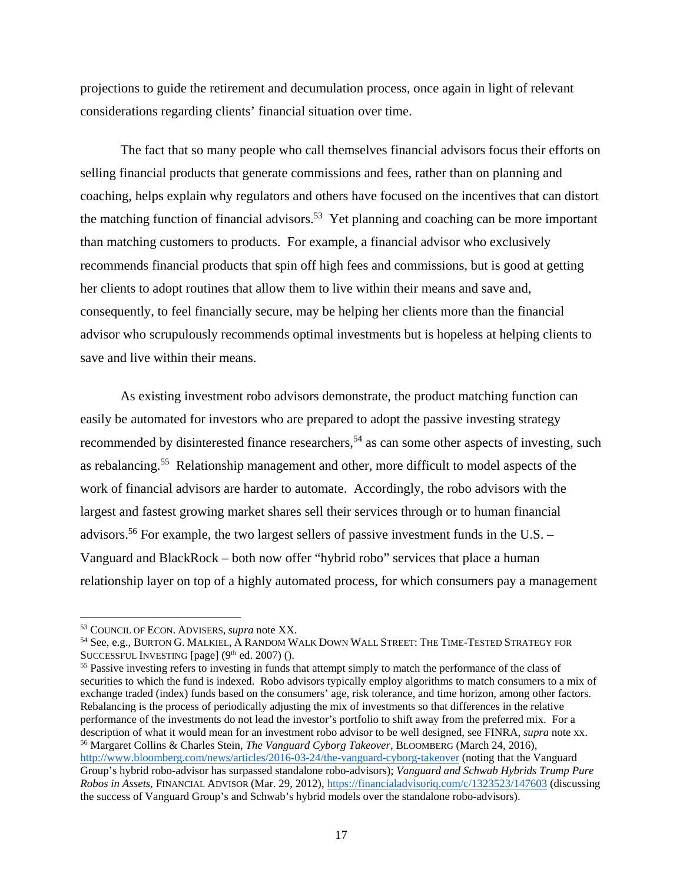projections to guide the retirement and decumulation process, once again in light of relevant considerations regarding clients' financial situation over time.

The fact that so many people who call themselves financial advisors focus their efforts on selling financial products that generate commissions and fees, rather than on planning and coaching, helps explain why regulators and others have focused on the incentives that can distort the matching function of financial advisors.<sup>53</sup> Yet planning and coaching can be more important than matching customers to products. For example, a financial advisor who exclusively recommends financial products that spin off high fees and commissions, but is good at getting her clients to adopt routines that allow them to live within their means and save and, consequently, to feel financially secure, may be helping her clients more than the financial advisor who scrupulously recommends optimal investments but is hopeless at helping clients to save and live within their means.

As existing investment robo advisors demonstrate, the product matching function can easily be automated for investors who are prepared to adopt the passive investing strategy recommended by disinterested finance researchers,<sup>54</sup> as can some other aspects of investing, such as rebalancing.55 Relationship management and other, more difficult to model aspects of the work of financial advisors are harder to automate. Accordingly, the robo advisors with the largest and fastest growing market shares sell their services through or to human financial advisors.<sup>56</sup> For example, the two largest sellers of passive investment funds in the U.S. – Vanguard and BlackRock – both now offer "hybrid robo" services that place a human relationship layer on top of a highly automated process, for which consumers pay a management

<sup>55</sup> Passive investing refers to investing in funds that attempt simply to match the performance of the class of securities to which the fund is indexed. Robo advisors typically employ algorithms to match consumers to a mix of exchange traded (index) funds based on the consumers' age, risk tolerance, and time horizon, among other factors. Rebalancing is the process of periodically adjusting the mix of investments so that differences in the relative performance of the investments do not lead the investor's portfolio to shift away from the preferred mix. For a description of what it would mean for an investment robo advisor to be well designed, see FINRA, *supra* note xx. 56 Margaret Collins & Charles Stein, *The Vanguard Cyborg Takeover*, BLOOMBERG (March 24, 2016), http://www.bloomberg.com/news/articles/2016-03-24/the-vanguard-cyborg-takeover (noting that the Vanguard Group's hybrid robo-advisor has surpassed standalone robo-advisors); *Vanguard and Schwab Hybrids Trump Pure Robos in Assets*, FINANCIAL ADVISOR (Mar. 29, 2012), https://financialadvisoriq.com/c/1323523/147603 (discussing the success of Vanguard Group's and Schwab's hybrid models over the standalone robo-advisors).

<sup>&</sup>lt;sup>53</sup> COUNCIL OF ECON. ADVISERS, *supra* note XX.<br><sup>54</sup> See, e.g., BURTON G. MALKIEL, A RANDOM WALK DOWN WALL STREET: THE TIME-TESTED STRATEGY FOR<br>SUCCESSFUL INVESTING [page] (9<sup>th</sup> ed. 2007) ().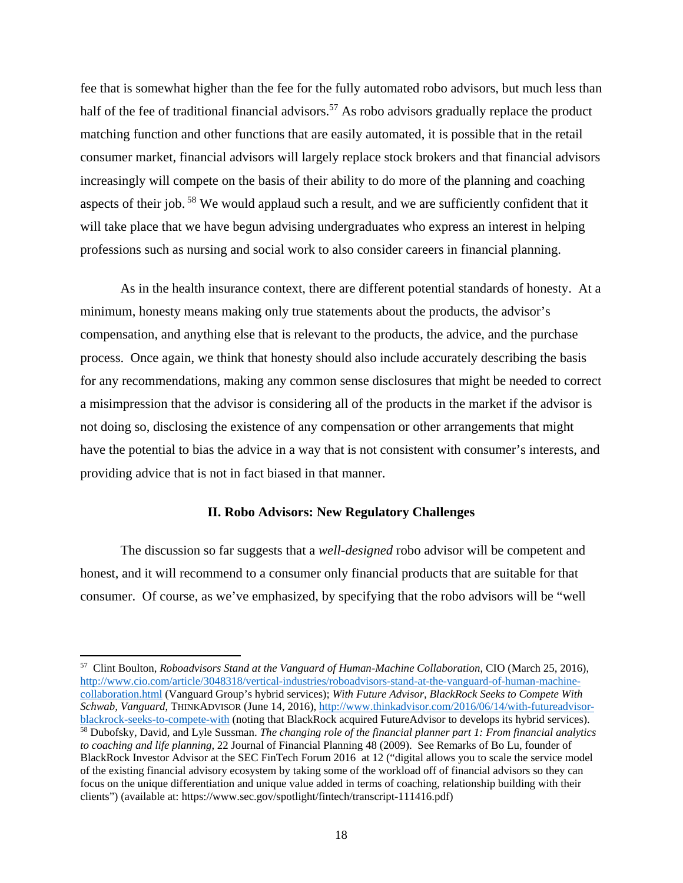fee that is somewhat higher than the fee for the fully automated robo advisors, but much less than half of the fee of traditional financial advisors.<sup>57</sup> As robo advisors gradually replace the product matching function and other functions that are easily automated, it is possible that in the retail consumer market, financial advisors will largely replace stock brokers and that financial advisors increasingly will compete on the basis of their ability to do more of the planning and coaching aspects of their job. 58 We would applaud such a result, and we are sufficiently confident that it will take place that we have begun advising undergraduates who express an interest in helping professions such as nursing and social work to also consider careers in financial planning.

As in the health insurance context, there are different potential standards of honesty. At a minimum, honesty means making only true statements about the products, the advisor's compensation, and anything else that is relevant to the products, the advice, and the purchase process. Once again, we think that honesty should also include accurately describing the basis for any recommendations, making any common sense disclosures that might be needed to correct a misimpression that the advisor is considering all of the products in the market if the advisor is not doing so, disclosing the existence of any compensation or other arrangements that might have the potential to bias the advice in a way that is not consistent with consumer's interests, and providing advice that is not in fact biased in that manner.

## **II. Robo Advisors: New Regulatory Challenges**

The discussion so far suggests that a *well-designed* robo advisor will be competent and honest, and it will recommend to a consumer only financial products that are suitable for that consumer. Of course, as we've emphasized, by specifying that the robo advisors will be "well

<sup>57</sup> Clint Boulton, *Roboadvisors Stand at the Vanguard of Human-Machine Collaboration*, CIO (March 25, 2016), http://www.cio.com/article/3048318/vertical-industries/roboadvisors-stand-at-the-vanguard-of-human-machinecollaboration.html (Vanguard Group's hybrid services); *With Future Advisor, BlackRock Seeks to Compete With Schwab, Vanguard*, THINKADVISOR (June 14, 2016), http://www.thinkadvisor.com/2016/06/14/with-futureadvisor-<br>
blackrock-seeks-to-compete-with (noting that BlackRock acquired FutureAdvisor to develops its hybrid services). <sup>58</sup> Dubofsky, David, and Lyle Sussman. The changing role of the financial planner part 1: From financial analytics *to coaching and life planning*, 22 Journal of Financial Planning 48 (2009). See Remarks of Bo Lu, founder of BlackRock Investor Advisor at the SEC FinTech Forum 2016 at 12 ("digital allows you to scale the service model of the existing financial advisory ecosystem by taking some of the workload off of financial advisors so they can focus on the unique differentiation and unique value added in terms of coaching, relationship building with their clients") (available at: https://www.sec.gov/spotlight/fintech/transcript-111416.pdf)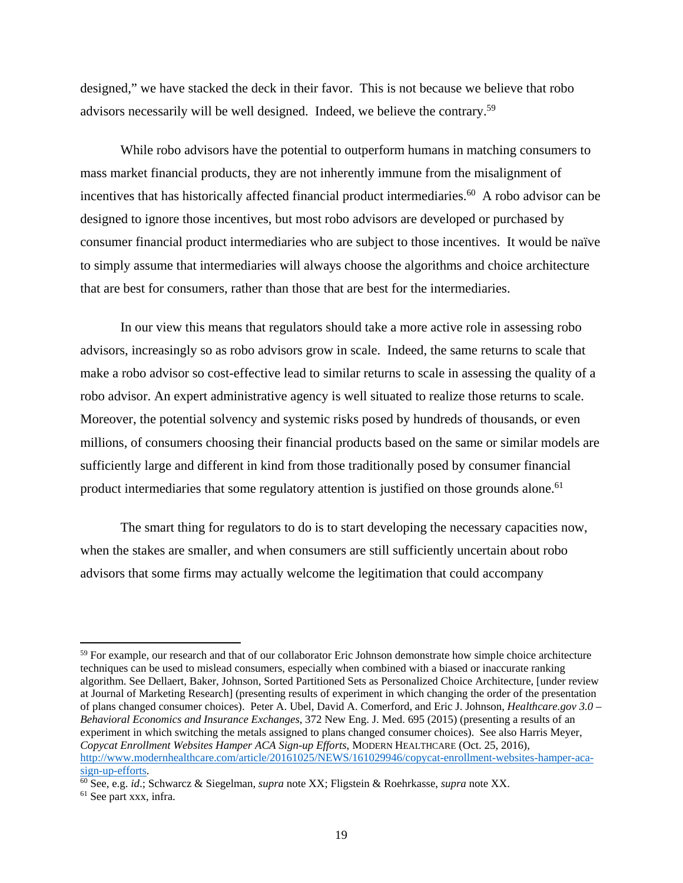designed," we have stacked the deck in their favor. This is not because we believe that robo advisors necessarily will be well designed. Indeed, we believe the contrary.59

While robo advisors have the potential to outperform humans in matching consumers to mass market financial products, they are not inherently immune from the misalignment of incentives that has historically affected financial product intermediaries.<sup>60</sup> A robo advisor can be designed to ignore those incentives, but most robo advisors are developed or purchased by consumer financial product intermediaries who are subject to those incentives. It would be naïve to simply assume that intermediaries will always choose the algorithms and choice architecture that are best for consumers, rather than those that are best for the intermediaries.

In our view this means that regulators should take a more active role in assessing robo advisors, increasingly so as robo advisors grow in scale. Indeed, the same returns to scale that make a robo advisor so cost-effective lead to similar returns to scale in assessing the quality of a robo advisor. An expert administrative agency is well situated to realize those returns to scale. Moreover, the potential solvency and systemic risks posed by hundreds of thousands, or even millions, of consumers choosing their financial products based on the same or similar models are sufficiently large and different in kind from those traditionally posed by consumer financial product intermediaries that some regulatory attention is justified on those grounds alone.<sup>61</sup>

The smart thing for regulators to do is to start developing the necessary capacities now, when the stakes are smaller, and when consumers are still sufficiently uncertain about robo advisors that some firms may actually welcome the legitimation that could accompany

<sup>59</sup> For example, our research and that of our collaborator Eric Johnson demonstrate how simple choice architecture techniques can be used to mislead consumers, especially when combined with a biased or inaccurate ranking algorithm. See Dellaert, Baker, Johnson, Sorted Partitioned Sets as Personalized Choice Architecture, [under review at Journal of Marketing Research] (presenting results of experiment in which changing the order of the presentation of plans changed consumer choices). Peter A. Ubel, David A. Comerford, and Eric J. Johnson, *Healthcare.gov 3.0 – Behavioral Economics and Insurance Exchanges*, 372 New Eng. J. Med. 695 (2015) (presenting a results of an experiment in which switching the metals assigned to plans changed consumer choices). See also Harris Meyer, *Copycat Enrollment Websites Hamper ACA Sign-up Efforts*, MODERN HEALTHCARE (Oct. 25, 2016), http://www.modernhealthcare.com/article/20161025/NEWS/161029946/copycat-enrollment-websites-hamper-acasign-up-efforts. 60 See, e.g. *id*.; Schwarcz & Siegelman, *supra* note XX; Fligstein & Roehrkasse, *supra* note XX. 61 See part xxx, infra.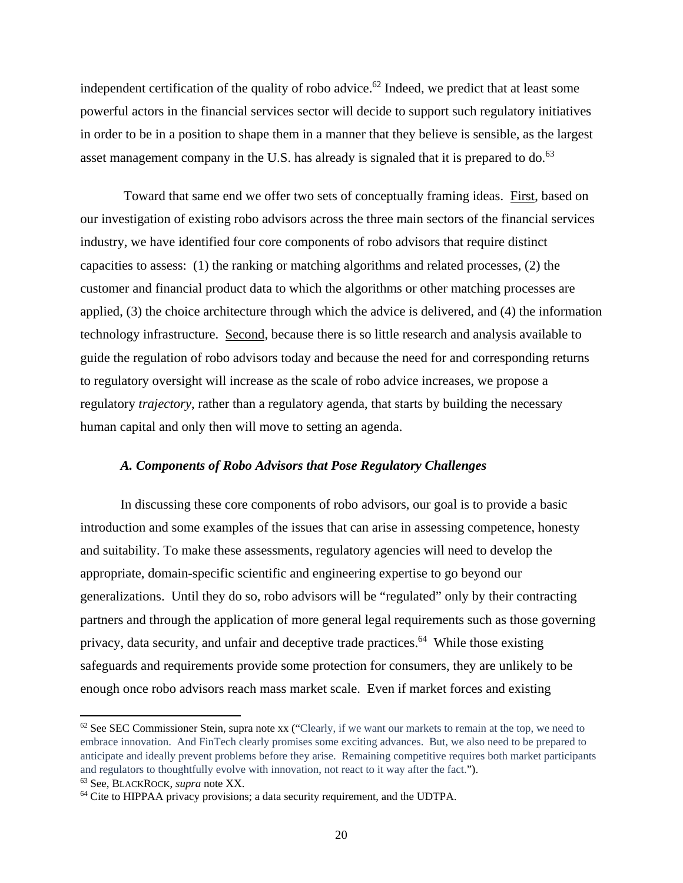independent certification of the quality of robo advice.<sup>62</sup> Indeed, we predict that at least some powerful actors in the financial services sector will decide to support such regulatory initiatives in order to be in a position to shape them in a manner that they believe is sensible, as the largest asset management company in the U.S. has already is signaled that it is prepared to do.<sup>63</sup>

 Toward that same end we offer two sets of conceptually framing ideas. First, based on our investigation of existing robo advisors across the three main sectors of the financial services industry, we have identified four core components of robo advisors that require distinct capacities to assess: (1) the ranking or matching algorithms and related processes, (2) the customer and financial product data to which the algorithms or other matching processes are applied, (3) the choice architecture through which the advice is delivered, and (4) the information technology infrastructure. Second, because there is so little research and analysis available to guide the regulation of robo advisors today and because the need for and corresponding returns to regulatory oversight will increase as the scale of robo advice increases, we propose a regulatory *trajectory*, rather than a regulatory agenda, that starts by building the necessary human capital and only then will move to setting an agenda.

### *A. Components of Robo Advisors that Pose Regulatory Challenges*

In discussing these core components of robo advisors, our goal is to provide a basic introduction and some examples of the issues that can arise in assessing competence, honesty and suitability. To make these assessments, regulatory agencies will need to develop the appropriate, domain-specific scientific and engineering expertise to go beyond our generalizations. Until they do so, robo advisors will be "regulated" only by their contracting partners and through the application of more general legal requirements such as those governing privacy, data security, and unfair and deceptive trade practices.<sup>64</sup> While those existing safeguards and requirements provide some protection for consumers, they are unlikely to be enough once robo advisors reach mass market scale. Even if market forces and existing

 $62$  See SEC Commissioner Stein, supra note xx ("Clearly, if we want our markets to remain at the top, we need to embrace innovation. And FinTech clearly promises some exciting advances. But, we also need to be prepared to anticipate and ideally prevent problems before they arise. Remaining competitive requires both market participants and regulators to thoughtfully evolve with innovation, not react to it way after the fact."). 63 See, BLACKROCK, *supra* note XX. 64 Cite to HIPPAA privacy provisions; a data security requirement, and the UDTPA.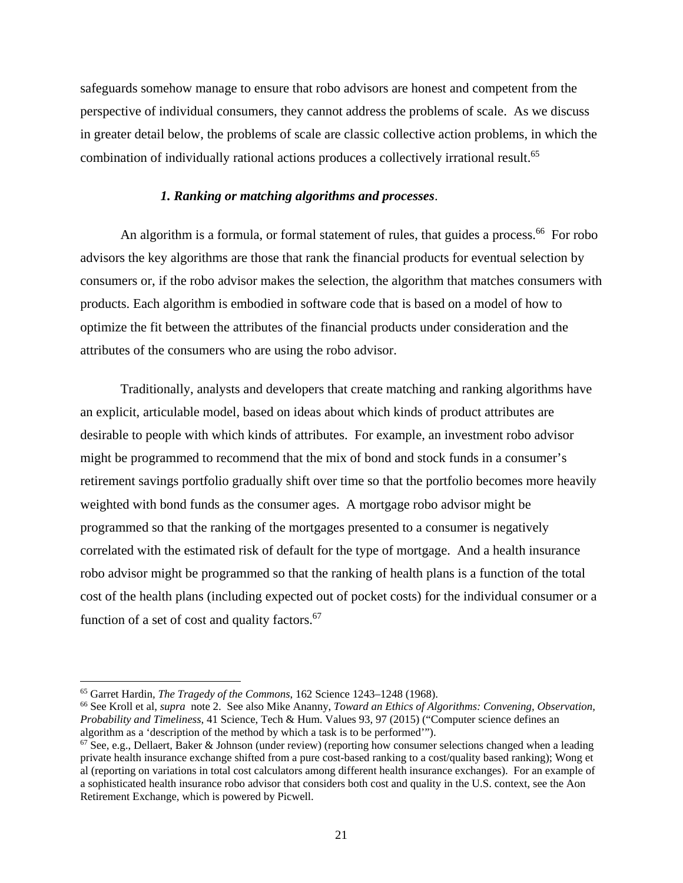safeguards somehow manage to ensure that robo advisors are honest and competent from the perspective of individual consumers, they cannot address the problems of scale. As we discuss in greater detail below, the problems of scale are classic collective action problems, in which the combination of individually rational actions produces a collectively irrational result.<sup>65</sup>

### *1. Ranking or matching algorithms and processes*.

An algorithm is a formula, or formal statement of rules, that guides a process.<sup>66</sup> For robo advisors the key algorithms are those that rank the financial products for eventual selection by consumers or, if the robo advisor makes the selection, the algorithm that matches consumers with products. Each algorithm is embodied in software code that is based on a model of how to optimize the fit between the attributes of the financial products under consideration and the attributes of the consumers who are using the robo advisor.

Traditionally, analysts and developers that create matching and ranking algorithms have an explicit, articulable model, based on ideas about which kinds of product attributes are desirable to people with which kinds of attributes. For example, an investment robo advisor might be programmed to recommend that the mix of bond and stock funds in a consumer's retirement savings portfolio gradually shift over time so that the portfolio becomes more heavily weighted with bond funds as the consumer ages. A mortgage robo advisor might be programmed so that the ranking of the mortgages presented to a consumer is negatively correlated with the estimated risk of default for the type of mortgage. And a health insurance robo advisor might be programmed so that the ranking of health plans is a function of the total cost of the health plans (including expected out of pocket costs) for the individual consumer or a function of a set of cost and quality factors. $67$ 

<sup>65</sup> Garret Hardin*, The Tragedy of the Commons*, 162 Science 1243–1248 (1968). 66 See Kroll et al, *supra* note 2. See also Mike Ananny, *Toward an Ethics of Algorithms: Convening, Observation, Probability and Timeliness*, 41 Science, Tech & Hum. Values 93, 97 (2015) ("Computer science defines an algorithm as a 'description of the method by which a task is to be performed'").

 $67$  See, e.g., Dellaert, Baker & Johnson (under review) (reporting how consumer selections changed when a leading private health insurance exchange shifted from a pure cost-based ranking to a cost/quality based ranking); Wong et al (reporting on variations in total cost calculators among different health insurance exchanges). For an example of a sophisticated health insurance robo advisor that considers both cost and quality in the U.S. context, see the Aon Retirement Exchange, which is powered by Picwell.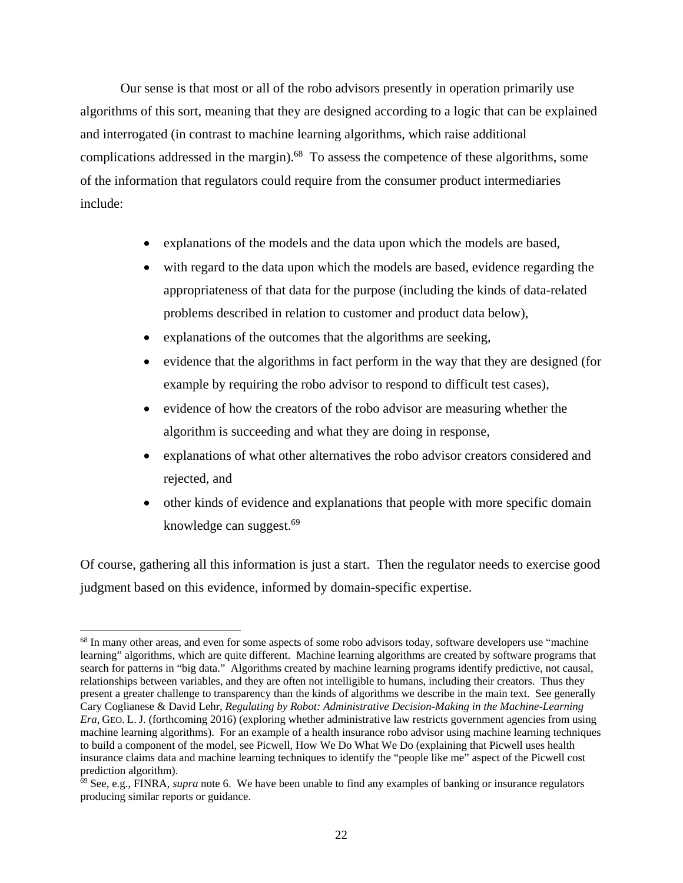Our sense is that most or all of the robo advisors presently in operation primarily use algorithms of this sort, meaning that they are designed according to a logic that can be explained and interrogated (in contrast to machine learning algorithms, which raise additional complications addressed in the margin).<sup>68</sup> To assess the competence of these algorithms, some of the information that regulators could require from the consumer product intermediaries include:

- explanations of the models and the data upon which the models are based,
- with regard to the data upon which the models are based, evidence regarding the appropriateness of that data for the purpose (including the kinds of data-related problems described in relation to customer and product data below),
- explanations of the outcomes that the algorithms are seeking,
- evidence that the algorithms in fact perform in the way that they are designed (for example by requiring the robo advisor to respond to difficult test cases),
- evidence of how the creators of the robo advisor are measuring whether the algorithm is succeeding and what they are doing in response,
- explanations of what other alternatives the robo advisor creators considered and rejected, and
- other kinds of evidence and explanations that people with more specific domain knowledge can suggest.<sup>69</sup>

Of course, gathering all this information is just a start. Then the regulator needs to exercise good judgment based on this evidence, informed by domain-specific expertise.

 <sup>68</sup> In many other areas, and even for some aspects of some robo advisors today, software developers use "machine learning" algorithms, which are quite different. Machine learning algorithms are created by software programs that search for patterns in "big data." Algorithms created by machine learning programs identify predictive, not causal, relationships between variables, and they are often not intelligible to humans, including their creators. Thus they present a greater challenge to transparency than the kinds of algorithms we describe in the main text. See generally Cary Coglianese & David Lehr, *Regulating by Robot: Administrative Decision-Making in the Machine-Learning Era*, GEO. L. J. (forthcoming 2016) (exploring whether administrative law restricts government agencies from using machine learning algorithms). For an example of a health insurance robo advisor using machine learning techniques to build a component of the model, see Picwell, How We Do What We Do (explaining that Picwell uses health insurance claims data and machine learning techniques to identify the "people like me" aspect of the Picwell cost prediction algorithm).

<sup>69</sup> See, e.g., FINRA, *supra* note 6. We have been unable to find any examples of banking or insurance regulators producing similar reports or guidance.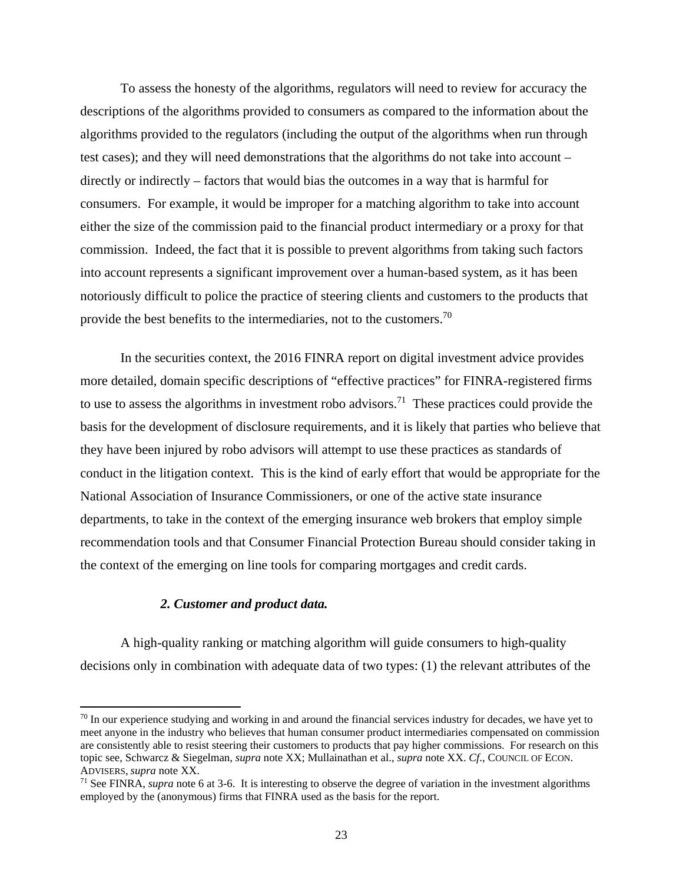To assess the honesty of the algorithms, regulators will need to review for accuracy the descriptions of the algorithms provided to consumers as compared to the information about the algorithms provided to the regulators (including the output of the algorithms when run through test cases); and they will need demonstrations that the algorithms do not take into account – directly or indirectly – factors that would bias the outcomes in a way that is harmful for consumers. For example, it would be improper for a matching algorithm to take into account either the size of the commission paid to the financial product intermediary or a proxy for that commission. Indeed, the fact that it is possible to prevent algorithms from taking such factors into account represents a significant improvement over a human-based system, as it has been notoriously difficult to police the practice of steering clients and customers to the products that provide the best benefits to the intermediaries, not to the customers.70

In the securities context, the 2016 FINRA report on digital investment advice provides more detailed, domain specific descriptions of "effective practices" for FINRA-registered firms to use to assess the algorithms in investment robo advisors.<sup>71</sup> These practices could provide the basis for the development of disclosure requirements, and it is likely that parties who believe that they have been injured by robo advisors will attempt to use these practices as standards of conduct in the litigation context. This is the kind of early effort that would be appropriate for the National Association of Insurance Commissioners, or one of the active state insurance departments, to take in the context of the emerging insurance web brokers that employ simple recommendation tools and that Consumer Financial Protection Bureau should consider taking in the context of the emerging on line tools for comparing mortgages and credit cards.

# *2. Customer and product data.*

A high-quality ranking or matching algorithm will guide consumers to high-quality decisions only in combination with adequate data of two types: (1) the relevant attributes of the

 $70$  In our experience studying and working in and around the financial services industry for decades, we have yet to meet anyone in the industry who believes that human consumer product intermediaries compensated on commission are consistently able to resist steering their customers to products that pay higher commissions. For research on this topic see, Schwarcz & Siegelman, *supra* note XX; Mullainathan et al., *supra* note XX. *Cf*., COUNCIL OF ECON. ADVISERS, *supra* note XX.<br><sup>71</sup> See FINRA, *supra* note 6 at 3-6. It is interesting to observe the degree of variation in the investment algorithms

employed by the (anonymous) firms that FINRA used as the basis for the report.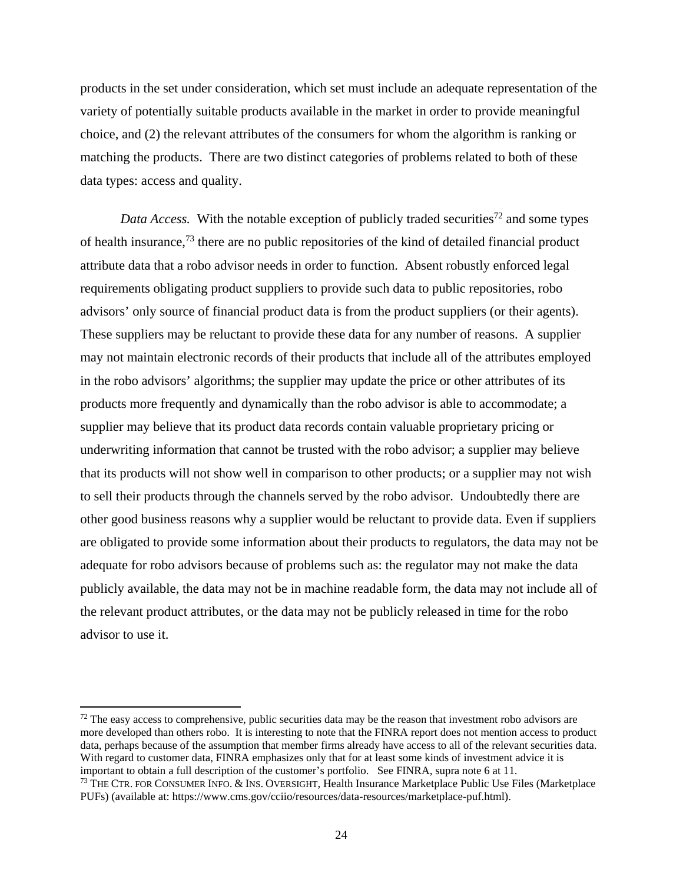products in the set under consideration, which set must include an adequate representation of the variety of potentially suitable products available in the market in order to provide meaningful choice, and (2) the relevant attributes of the consumers for whom the algorithm is ranking or matching the products. There are two distinct categories of problems related to both of these data types: access and quality.

*Data Access.* With the notable exception of publicly traded securities<sup>72</sup> and some types of health insurance,73 there are no public repositories of the kind of detailed financial product attribute data that a robo advisor needs in order to function. Absent robustly enforced legal requirements obligating product suppliers to provide such data to public repositories, robo advisors' only source of financial product data is from the product suppliers (or their agents). These suppliers may be reluctant to provide these data for any number of reasons. A supplier may not maintain electronic records of their products that include all of the attributes employed in the robo advisors' algorithms; the supplier may update the price or other attributes of its products more frequently and dynamically than the robo advisor is able to accommodate; a supplier may believe that its product data records contain valuable proprietary pricing or underwriting information that cannot be trusted with the robo advisor; a supplier may believe that its products will not show well in comparison to other products; or a supplier may not wish to sell their products through the channels served by the robo advisor. Undoubtedly there are other good business reasons why a supplier would be reluctant to provide data. Even if suppliers are obligated to provide some information about their products to regulators, the data may not be adequate for robo advisors because of problems such as: the regulator may not make the data publicly available, the data may not be in machine readable form, the data may not include all of the relevant product attributes, or the data may not be publicly released in time for the robo advisor to use it.

 $72$  The easy access to comprehensive, public securities data may be the reason that investment robo advisors are more developed than others robo. It is interesting to note that the FINRA report does not mention access to product data, perhaps because of the assumption that member firms already have access to all of the relevant securities data. With regard to customer data, FINRA emphasizes only that for at least some kinds of investment advice it is important to obtain a full description of the customer's portfolio. See FINRA, supra note 6 at 11. <sup>73</sup> THE CTR. FOR CONSUMER INFO. & INS. OVERSIGHT, Health Insurance Marketplace Public Use Files (Marketplace PUFs) (available at: https://www.cms.gov/cciio/resources/data-resources/marketplace-puf.html).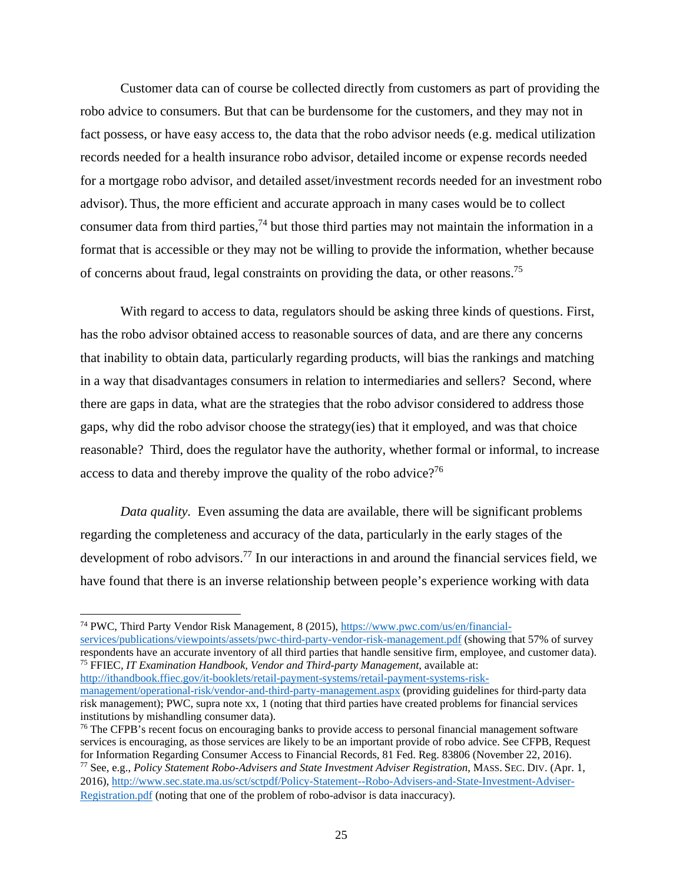Customer data can of course be collected directly from customers as part of providing the robo advice to consumers. But that can be burdensome for the customers, and they may not in fact possess, or have easy access to, the data that the robo advisor needs (e.g. medical utilization records needed for a health insurance robo advisor, detailed income or expense records needed for a mortgage robo advisor, and detailed asset/investment records needed for an investment robo advisor). Thus, the more efficient and accurate approach in many cases would be to collect consumer data from third parties,  $74$  but those third parties may not maintain the information in a format that is accessible or they may not be willing to provide the information, whether because of concerns about fraud, legal constraints on providing the data, or other reasons.75

With regard to access to data, regulators should be asking three kinds of questions. First, has the robo advisor obtained access to reasonable sources of data, and are there any concerns that inability to obtain data, particularly regarding products, will bias the rankings and matching in a way that disadvantages consumers in relation to intermediaries and sellers? Second, where there are gaps in data, what are the strategies that the robo advisor considered to address those gaps, why did the robo advisor choose the strategy(ies) that it employed, and was that choice reasonable? Third, does the regulator have the authority, whether formal or informal, to increase access to data and thereby improve the quality of the robo advice?<sup>76</sup>

*Data quality.* Even assuming the data are available, there will be significant problems regarding the completeness and accuracy of the data, particularly in the early stages of the development of robo advisors.<sup>77</sup> In our interactions in and around the financial services field, we have found that there is an inverse relationship between people's experience working with data

respondents have an accurate inventory of all third parties that handle sensitive firm, employee, and customer data). 75 FFIEC*, IT Examination Handbook, Vendor and Third-party Management*, available at: http://ithandbook.ffiec.gov/it-booklets/retail-payment-systems/retail-payment-systems-riskmanagement/operational-risk/vendor-and-third-party-management.aspx (providing guidelines for third-party data risk management); PWC, supra note xx, 1 (noting that third parties have created problems for financial services institutions by mishandling consumer data).

<sup>74</sup> PWC, Third Party Vendor Risk Management, 8 (2015), https://www.pwc.com/us/en/financialservices/publications/viewpoints/assets/pwc-third-party-vendor-risk-management.pdf (showing that 57% of survey

<sup>&</sup>lt;sup>76</sup> The CFPB's recent focus on encouraging banks to provide access to personal financial management software services is encouraging, as those services are likely to be an important provide of robo advice. See CFPB, Request for Information Regarding Consumer Access to Financial Records, 81 Fed. Reg. 83806 (November 22, 2016). for Information Regarding Consumer Access to Financial Records, 81 Fed. Reg. 83806 (November 22, 2016). 77 See, e.g., *Policy Statement Robo-Advisers and State Investment Adviser Registration*, MASS. SEC. DIV. (Apr. 1, 2016), http://www.sec.state.ma.us/sct/sctpdf/Policy-Statement--Robo-Advisers-and-State-Investment-Adviser-Registration.pdf (noting that one of the problem of robo-advisor is data inaccuracy).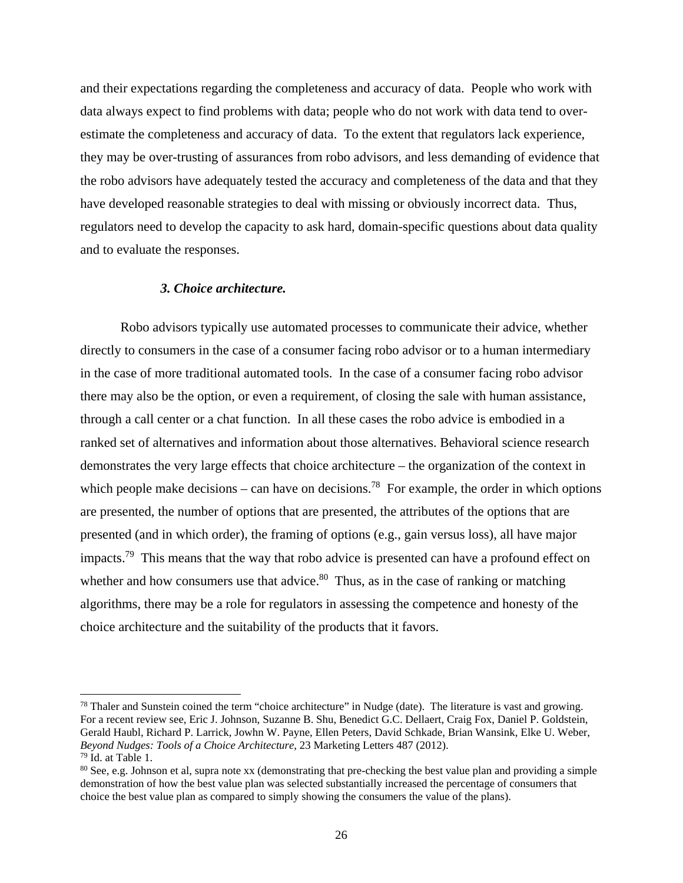and their expectations regarding the completeness and accuracy of data. People who work with data always expect to find problems with data; people who do not work with data tend to overestimate the completeness and accuracy of data. To the extent that regulators lack experience, they may be over-trusting of assurances from robo advisors, and less demanding of evidence that the robo advisors have adequately tested the accuracy and completeness of the data and that they have developed reasonable strategies to deal with missing or obviously incorrect data. Thus, regulators need to develop the capacity to ask hard, domain-specific questions about data quality and to evaluate the responses.

## *3. Choice architecture.*

Robo advisors typically use automated processes to communicate their advice, whether directly to consumers in the case of a consumer facing robo advisor or to a human intermediary in the case of more traditional automated tools. In the case of a consumer facing robo advisor there may also be the option, or even a requirement, of closing the sale with human assistance, through a call center or a chat function. In all these cases the robo advice is embodied in a ranked set of alternatives and information about those alternatives. Behavioral science research demonstrates the very large effects that choice architecture – the organization of the context in which people make decisions – can have on decisions.<sup>78</sup> For example, the order in which options are presented, the number of options that are presented, the attributes of the options that are presented (and in which order), the framing of options (e.g., gain versus loss), all have major impacts.<sup>79</sup> This means that the way that robo advice is presented can have a profound effect on whether and how consumers use that advice. $80$  Thus, as in the case of ranking or matching algorithms, there may be a role for regulators in assessing the competence and honesty of the choice architecture and the suitability of the products that it favors.

 $78$  Thaler and Sunstein coined the term "choice architecture" in Nudge (date). The literature is vast and growing. For a recent review see, Eric J. Johnson, Suzanne B. Shu, Benedict G.C. Dellaert, Craig Fox, Daniel P. Goldstein, Gerald Haubl, Richard P. Larrick, Jowhn W. Payne, Ellen Peters, David Schkade, Brian Wansink, Elke U. Weber, *Beyond Nudges: Tools of a Choice Architecture*, 23 Marketing Letters 487 (2012). 79 Id. at Table 1.

<sup>80</sup> See, e.g. Johnson et al, supra note xx (demonstrating that pre-checking the best value plan and providing a simple demonstration of how the best value plan was selected substantially increased the percentage of consumers that choice the best value plan as compared to simply showing the consumers the value of the plans).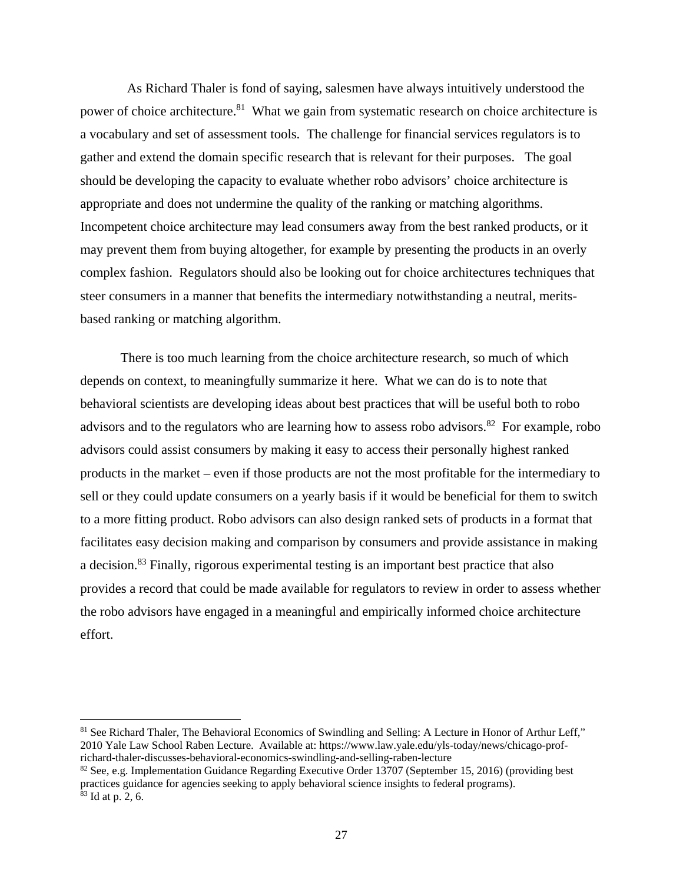As Richard Thaler is fond of saying, salesmen have always intuitively understood the power of choice architecture.<sup>81</sup> What we gain from systematic research on choice architecture is a vocabulary and set of assessment tools. The challenge for financial services regulators is to gather and extend the domain specific research that is relevant for their purposes. The goal should be developing the capacity to evaluate whether robo advisors' choice architecture is appropriate and does not undermine the quality of the ranking or matching algorithms. Incompetent choice architecture may lead consumers away from the best ranked products, or it may prevent them from buying altogether, for example by presenting the products in an overly complex fashion. Regulators should also be looking out for choice architectures techniques that steer consumers in a manner that benefits the intermediary notwithstanding a neutral, meritsbased ranking or matching algorithm.

There is too much learning from the choice architecture research, so much of which depends on context, to meaningfully summarize it here. What we can do is to note that behavioral scientists are developing ideas about best practices that will be useful both to robo advisors and to the regulators who are learning how to assess robo advisors.<sup>82</sup> For example, robo advisors could assist consumers by making it easy to access their personally highest ranked products in the market – even if those products are not the most profitable for the intermediary to sell or they could update consumers on a yearly basis if it would be beneficial for them to switch to a more fitting product. Robo advisors can also design ranked sets of products in a format that facilitates easy decision making and comparison by consumers and provide assistance in making a decision.<sup>83</sup> Finally, rigorous experimental testing is an important best practice that also provides a record that could be made available for regulators to review in order to assess whether the robo advisors have engaged in a meaningful and empirically informed choice architecture effort.

<sup>81</sup> See Richard Thaler, The Behavioral Economics of Swindling and Selling: A Lecture in Honor of Arthur Leff," 2010 Yale Law School Raben Lecture. Available at: https://www.law.yale.edu/yls-today/news/chicago-profrichard-thaler-discusses-behavioral-economics-swindling-and-selling-raben-lecture 82 See, e.g. Implementation Guidance Regarding Executive Order 13707 (September 15, 2016) (providing best

practices guidance for agencies seeking to apply behavioral science insights to federal programs).  $83$  Id at p. 2, 6.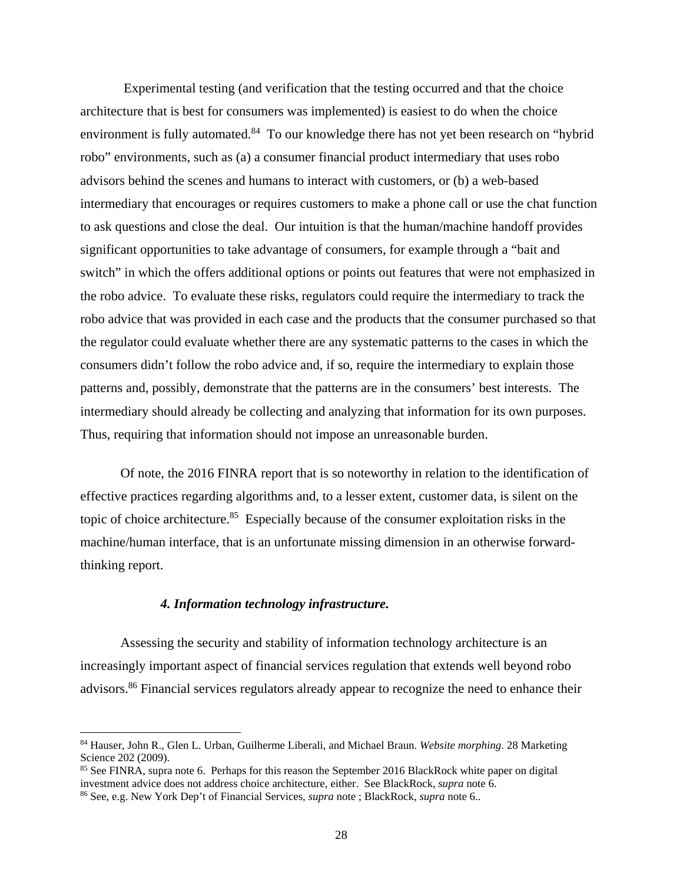Experimental testing (and verification that the testing occurred and that the choice architecture that is best for consumers was implemented) is easiest to do when the choice environment is fully automated.<sup>84</sup> To our knowledge there has not yet been research on "hybrid robo" environments, such as (a) a consumer financial product intermediary that uses robo advisors behind the scenes and humans to interact with customers, or (b) a web-based intermediary that encourages or requires customers to make a phone call or use the chat function to ask questions and close the deal. Our intuition is that the human/machine handoff provides significant opportunities to take advantage of consumers, for example through a "bait and switch" in which the offers additional options or points out features that were not emphasized in the robo advice. To evaluate these risks, regulators could require the intermediary to track the robo advice that was provided in each case and the products that the consumer purchased so that the regulator could evaluate whether there are any systematic patterns to the cases in which the consumers didn't follow the robo advice and, if so, require the intermediary to explain those patterns and, possibly, demonstrate that the patterns are in the consumers' best interests. The intermediary should already be collecting and analyzing that information for its own purposes. Thus, requiring that information should not impose an unreasonable burden.

Of note, the 2016 FINRA report that is so noteworthy in relation to the identification of effective practices regarding algorithms and, to a lesser extent, customer data, is silent on the topic of choice architecture.<sup>85</sup> Especially because of the consumer exploitation risks in the machine/human interface, that is an unfortunate missing dimension in an otherwise forwardthinking report.

### *4. Information technology infrastructure.*

Assessing the security and stability of information technology architecture is an increasingly important aspect of financial services regulation that extends well beyond robo advisors.<sup>86</sup> Financial services regulators already appear to recognize the need to enhance their

<sup>84</sup> Hauser, John R., Glen L. Urban, Guilherme Liberali, and Michael Braun. *Website morphing*. 28 Marketing Science 202 (2009).

<sup>85</sup> See FINRA, supra note 6. Perhaps for this reason the September 2016 BlackRock white paper on digital investment advice does not address choice architecture, either. See BlackRock, *supra* note 6. 86 See, e.g. New York Dep't of Financial Services, *supra* note ; BlackRock, *supra* note 6..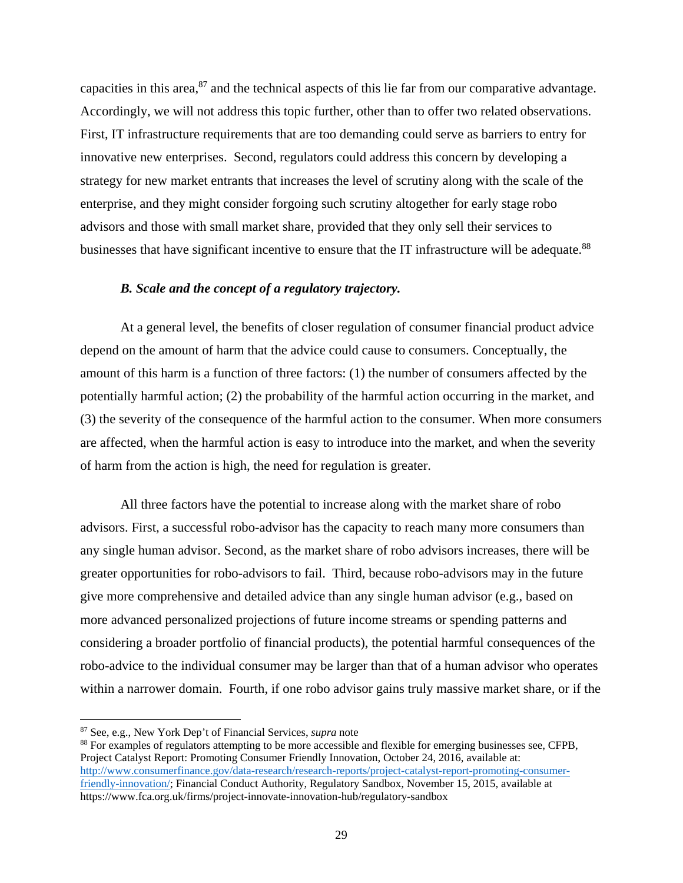capacities in this area, $87$  and the technical aspects of this lie far from our comparative advantage. Accordingly, we will not address this topic further, other than to offer two related observations. First, IT infrastructure requirements that are too demanding could serve as barriers to entry for innovative new enterprises. Second, regulators could address this concern by developing a strategy for new market entrants that increases the level of scrutiny along with the scale of the enterprise, and they might consider forgoing such scrutiny altogether for early stage robo advisors and those with small market share, provided that they only sell their services to businesses that have significant incentive to ensure that the IT infrastructure will be adequate.<sup>88</sup>

### *B. Scale and the concept of a regulatory trajectory.*

At a general level, the benefits of closer regulation of consumer financial product advice depend on the amount of harm that the advice could cause to consumers. Conceptually, the amount of this harm is a function of three factors: (1) the number of consumers affected by the potentially harmful action; (2) the probability of the harmful action occurring in the market, and (3) the severity of the consequence of the harmful action to the consumer. When more consumers are affected, when the harmful action is easy to introduce into the market, and when the severity of harm from the action is high, the need for regulation is greater.

All three factors have the potential to increase along with the market share of robo advisors. First, a successful robo-advisor has the capacity to reach many more consumers than any single human advisor. Second, as the market share of robo advisors increases, there will be greater opportunities for robo-advisors to fail. Third, because robo-advisors may in the future give more comprehensive and detailed advice than any single human advisor (e.g., based on more advanced personalized projections of future income streams or spending patterns and considering a broader portfolio of financial products), the potential harmful consequences of the robo-advice to the individual consumer may be larger than that of a human advisor who operates within a narrower domain. Fourth, if one robo advisor gains truly massive market share, or if the

<sup>&</sup>lt;sup>87</sup> See, e.g., New York Dep't of Financial Services, *supra* note<br><sup>88</sup> For examples of regulators attempting to be more accessible and flexible for emerging businesses see, CFPB, Project Catalyst Report: Promoting Consumer Friendly Innovation, October 24, 2016, available at: http://www.consumerfinance.gov/data-research/research-reports/project-catalyst-report-promoting-consumerfriendly-innovation/; Financial Conduct Authority, Regulatory Sandbox, November 15, 2015, available at https://www.fca.org.uk/firms/project-innovate-innovation-hub/regulatory-sandbox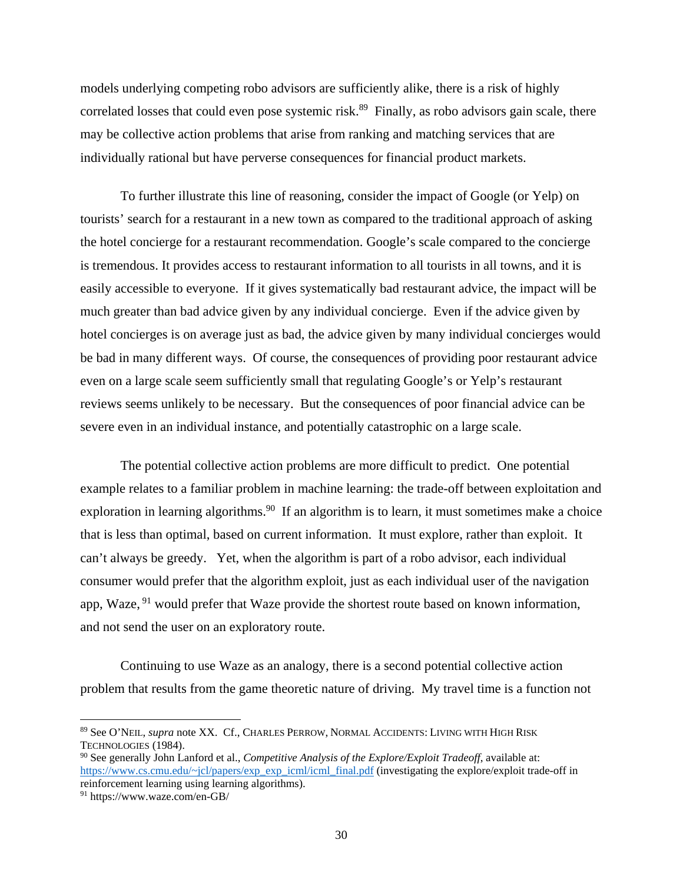models underlying competing robo advisors are sufficiently alike, there is a risk of highly correlated losses that could even pose systemic risk.<sup>89</sup> Finally, as robo advisors gain scale, there may be collective action problems that arise from ranking and matching services that are individually rational but have perverse consequences for financial product markets.

To further illustrate this line of reasoning, consider the impact of Google (or Yelp) on tourists' search for a restaurant in a new town as compared to the traditional approach of asking the hotel concierge for a restaurant recommendation. Google's scale compared to the concierge is tremendous. It provides access to restaurant information to all tourists in all towns, and it is easily accessible to everyone. If it gives systematically bad restaurant advice, the impact will be much greater than bad advice given by any individual concierge. Even if the advice given by hotel concierges is on average just as bad, the advice given by many individual concierges would be bad in many different ways. Of course, the consequences of providing poor restaurant advice even on a large scale seem sufficiently small that regulating Google's or Yelp's restaurant reviews seems unlikely to be necessary. But the consequences of poor financial advice can be severe even in an individual instance, and potentially catastrophic on a large scale.

The potential collective action problems are more difficult to predict. One potential example relates to a familiar problem in machine learning: the trade-off between exploitation and exploration in learning algorithms.<sup>90</sup> If an algorithm is to learn, it must sometimes make a choice that is less than optimal, based on current information. It must explore, rather than exploit. It can't always be greedy. Yet, when the algorithm is part of a robo advisor, each individual consumer would prefer that the algorithm exploit, just as each individual user of the navigation app, Waze, <sup>91</sup> would prefer that Waze provide the shortest route based on known information, and not send the user on an exploratory route.

Continuing to use Waze as an analogy, there is a second potential collective action problem that results from the game theoretic nature of driving. My travel time is a function not

<sup>89</sup> See O'NEIL, *supra* note XX. Cf., CHARLES PERROW, NORMAL ACCIDENTS: LIVING WITH HIGH RISK TECHNOLOGIES (1984).

<sup>90</sup> See generally John Lanford et al., *Competitive Analysis of the Explore/Exploit Tradeoff*, available at: https://www.cs.cmu.edu/~jcl/papers/exp\_exp\_icml/icml\_final.pdf (investigating the explore/exploit trade-off in reinforcement learning using learning algorithms).

<sup>91</sup> https://www.waze.com/en-GB/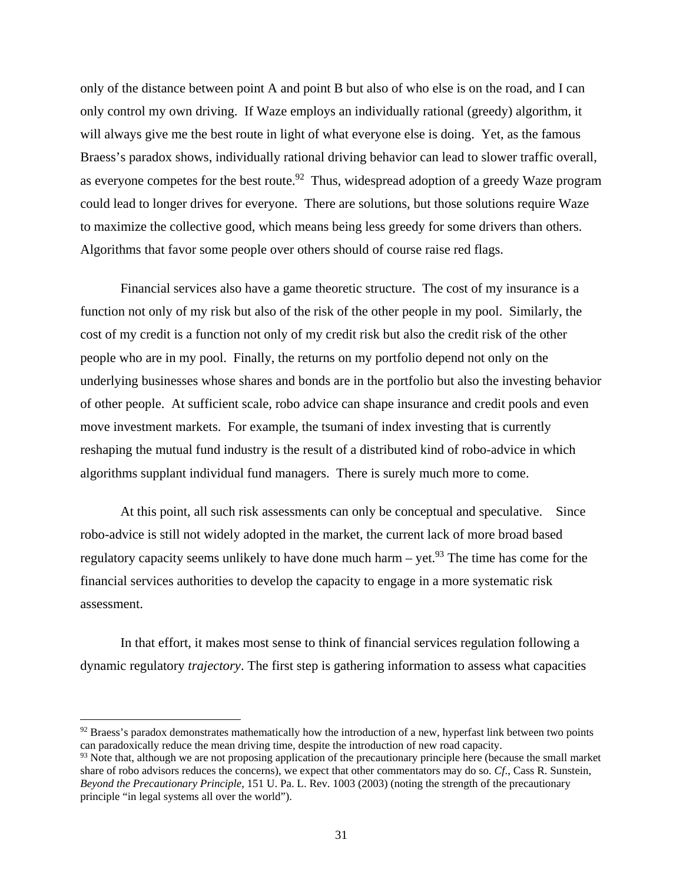only of the distance between point A and point B but also of who else is on the road, and I can only control my own driving. If Waze employs an individually rational (greedy) algorithm, it will always give me the best route in light of what everyone else is doing. Yet, as the famous Braess's paradox shows, individually rational driving behavior can lead to slower traffic overall, as everyone competes for the best route.<sup>92</sup> Thus, widespread adoption of a greedy Waze program could lead to longer drives for everyone. There are solutions, but those solutions require Waze to maximize the collective good, which means being less greedy for some drivers than others. Algorithms that favor some people over others should of course raise red flags.

Financial services also have a game theoretic structure. The cost of my insurance is a function not only of my risk but also of the risk of the other people in my pool. Similarly, the cost of my credit is a function not only of my credit risk but also the credit risk of the other people who are in my pool. Finally, the returns on my portfolio depend not only on the underlying businesses whose shares and bonds are in the portfolio but also the investing behavior of other people. At sufficient scale, robo advice can shape insurance and credit pools and even move investment markets. For example, the tsumani of index investing that is currently reshaping the mutual fund industry is the result of a distributed kind of robo-advice in which algorithms supplant individual fund managers. There is surely much more to come.

At this point, all such risk assessments can only be conceptual and speculative. Since robo-advice is still not widely adopted in the market, the current lack of more broad based regulatory capacity seems unlikely to have done much harm – yet.<sup>93</sup> The time has come for the financial services authorities to develop the capacity to engage in a more systematic risk assessment.

In that effort, it makes most sense to think of financial services regulation following a dynamic regulatory *trajectory*. The first step is gathering information to assess what capacities

 $92$  Braess's paradox demonstrates mathematically how the introduction of a new, hyperfast link between two points can paradoxically reduce the mean driving time, despite the introduction of new road capacity.

 $93$  Note that, although we are not proposing application of the precautionary principle here (because the small market share of robo advisors reduces the concerns), we expect that other commentators may do so. *Cf*., Cass R. Sunstein, *Beyond the Precautionary Principle*, 151 U. Pa. L. Rev. 1003 (2003) (noting the strength of the precautionary principle "in legal systems all over the world").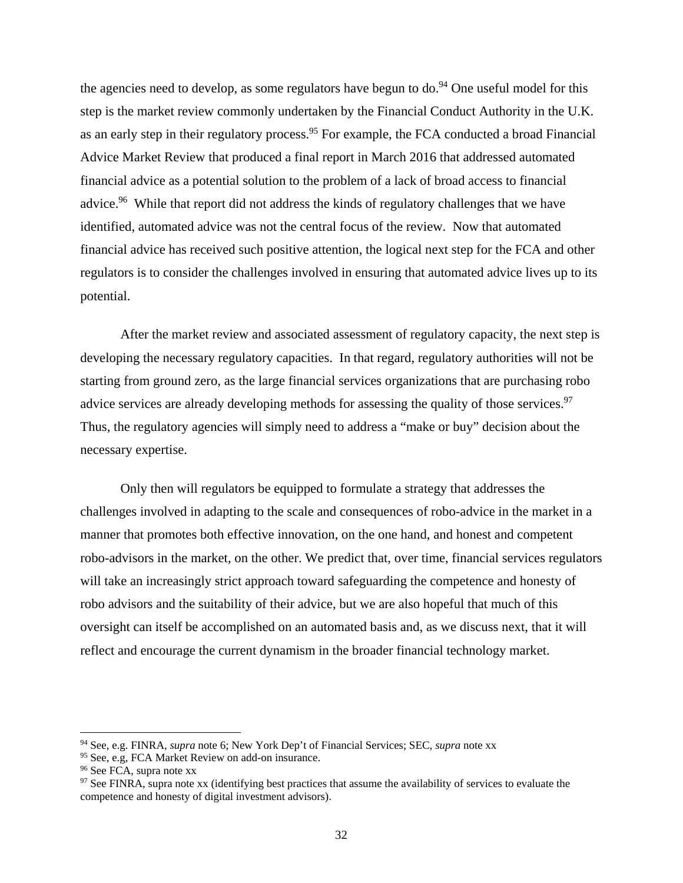the agencies need to develop, as some regulators have begun to do.<sup>94</sup> One useful model for this step is the market review commonly undertaken by the Financial Conduct Authority in the U.K. as an early step in their regulatory process.<sup>95</sup> For example, the FCA conducted a broad Financial Advice Market Review that produced a final report in March 2016 that addressed automated financial advice as a potential solution to the problem of a lack of broad access to financial advice.<sup>96</sup> While that report did not address the kinds of regulatory challenges that we have identified, automated advice was not the central focus of the review. Now that automated financial advice has received such positive attention, the logical next step for the FCA and other regulators is to consider the challenges involved in ensuring that automated advice lives up to its potential.

After the market review and associated assessment of regulatory capacity, the next step is developing the necessary regulatory capacities. In that regard, regulatory authorities will not be starting from ground zero, as the large financial services organizations that are purchasing robo advice services are already developing methods for assessing the quality of those services.<sup>97</sup> Thus, the regulatory agencies will simply need to address a "make or buy" decision about the necessary expertise.

Only then will regulators be equipped to formulate a strategy that addresses the challenges involved in adapting to the scale and consequences of robo-advice in the market in a manner that promotes both effective innovation, on the one hand, and honest and competent robo-advisors in the market, on the other. We predict that, over time, financial services regulators will take an increasingly strict approach toward safeguarding the competence and honesty of robo advisors and the suitability of their advice, but we are also hopeful that much of this oversight can itself be accomplished on an automated basis and, as we discuss next, that it will reflect and encourage the current dynamism in the broader financial technology market.

<sup>94</sup> See, e.g. FINRA, *supra* note 6; New York Dep't of Financial Services; SEC, *supra* note xx

<sup>&</sup>lt;sup>95</sup> See, e.g, FCA Market Review on add-on insurance.

<sup>&</sup>lt;sup>96</sup> See FCA, supra note xx

<sup>&</sup>lt;sup>97</sup> See FINRA, supra note xx (identifying best practices that assume the availability of services to evaluate the competence and honesty of digital investment advisors).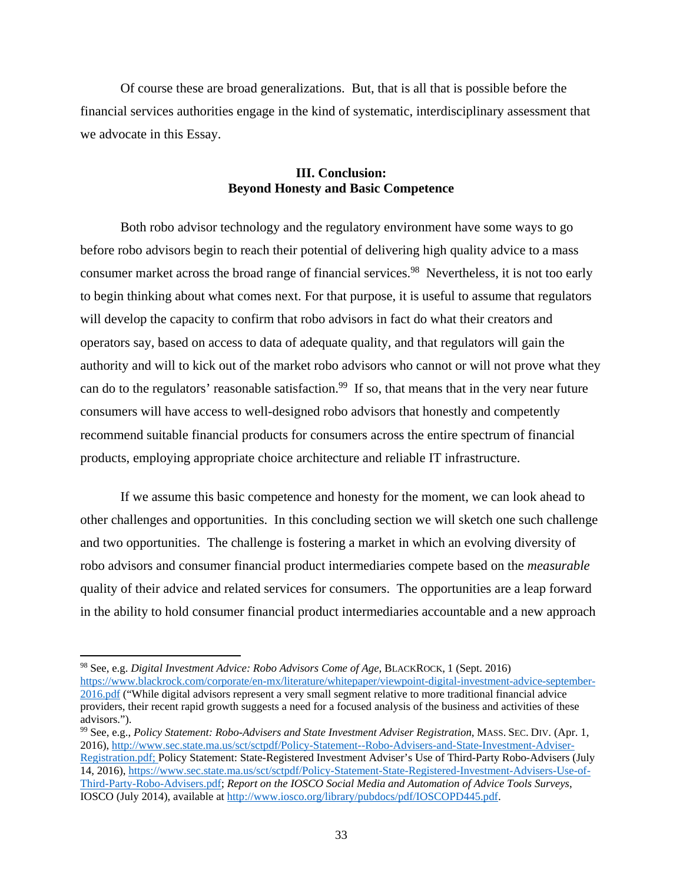Of course these are broad generalizations. But, that is all that is possible before the financial services authorities engage in the kind of systematic, interdisciplinary assessment that we advocate in this Essay.

# **III. Conclusion: Beyond Honesty and Basic Competence**

Both robo advisor technology and the regulatory environment have some ways to go before robo advisors begin to reach their potential of delivering high quality advice to a mass consumer market across the broad range of financial services.<sup>98</sup> Nevertheless, it is not too early to begin thinking about what comes next. For that purpose, it is useful to assume that regulators will develop the capacity to confirm that robo advisors in fact do what their creators and operators say, based on access to data of adequate quality, and that regulators will gain the authority and will to kick out of the market robo advisors who cannot or will not prove what they can do to the regulators' reasonable satisfaction.<sup>99</sup> If so, that means that in the very near future consumers will have access to well-designed robo advisors that honestly and competently recommend suitable financial products for consumers across the entire spectrum of financial products, employing appropriate choice architecture and reliable IT infrastructure.

If we assume this basic competence and honesty for the moment, we can look ahead to other challenges and opportunities. In this concluding section we will sketch one such challenge and two opportunities. The challenge is fostering a market in which an evolving diversity of robo advisors and consumer financial product intermediaries compete based on the *measurable* quality of their advice and related services for consumers. The opportunities are a leap forward in the ability to hold consumer financial product intermediaries accountable and a new approach

<sup>98</sup> See, e.g. *Digital Investment Advice: Robo Advisors Come of Age*, BLACKROCK, 1 (Sept. 2016) https://www.blackrock.com/corporate/en-mx/literature/whitepaper/viewpoint-digital-investment-advice-september-2016.pdf ("While digital advisors represent a very small segment relative to more traditional financial advice providers, their recent rapid growth suggests a need for a focused analysis of the business and activities of these advisors.").

<sup>99</sup> See, e.g., *Policy Statement: Robo-Advisers and State Investment Adviser Registration*, MASS. SEC. DIV. (Apr. 1, 2016), http://www.sec.state.ma.us/sct/sctpdf/Policy-Statement--Robo-Advisers-and-State-Investment-Adviser-Registration.pdf; Policy Statement: State-Registered Investment Adviser's Use of Third-Party Robo-Advisers (July 14, 2016), https://www.sec.state.ma.us/sct/sctpdf/Policy-Statement-State-Registered-Investment-Advisers-Use-of-Third-Party-Robo-Advisers.pdf; *Report on the IOSCO Social Media and Automation of Advice Tools Surveys*, IOSCO (July 2014), available at http://www.iosco.org/library/pubdocs/pdf/IOSCOPD445.pdf.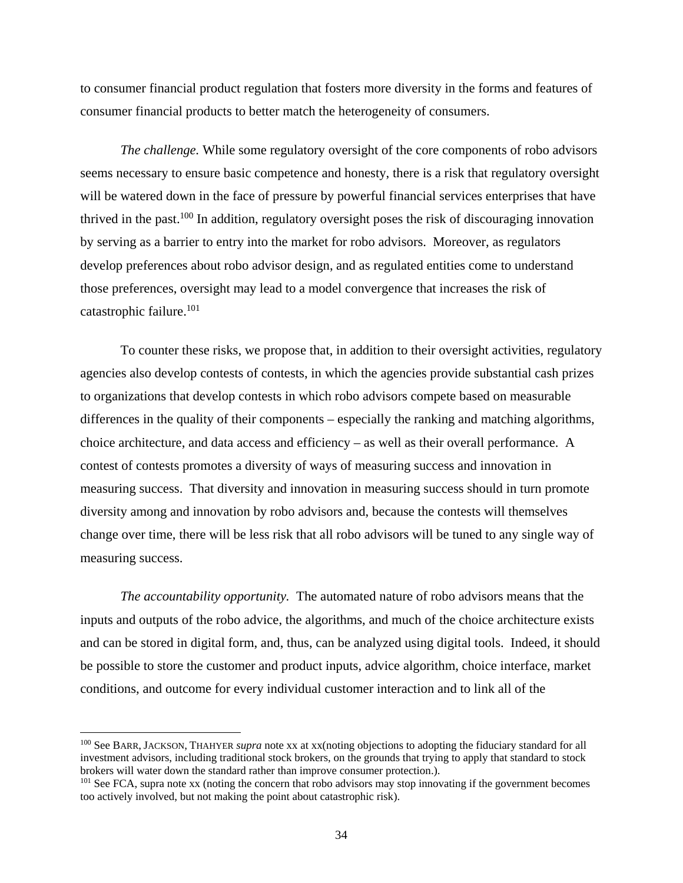to consumer financial product regulation that fosters more diversity in the forms and features of consumer financial products to better match the heterogeneity of consumers.

*The challenge.* While some regulatory oversight of the core components of robo advisors seems necessary to ensure basic competence and honesty, there is a risk that regulatory oversight will be watered down in the face of pressure by powerful financial services enterprises that have thrived in the past.<sup>100</sup> In addition, regulatory oversight poses the risk of discouraging innovation by serving as a barrier to entry into the market for robo advisors. Moreover, as regulators develop preferences about robo advisor design, and as regulated entities come to understand those preferences, oversight may lead to a model convergence that increases the risk of catastrophic failure.<sup>101</sup>

To counter these risks, we propose that, in addition to their oversight activities, regulatory agencies also develop contests of contests, in which the agencies provide substantial cash prizes to organizations that develop contests in which robo advisors compete based on measurable differences in the quality of their components – especially the ranking and matching algorithms, choice architecture, and data access and efficiency – as well as their overall performance. A contest of contests promotes a diversity of ways of measuring success and innovation in measuring success. That diversity and innovation in measuring success should in turn promote diversity among and innovation by robo advisors and, because the contests will themselves change over time, there will be less risk that all robo advisors will be tuned to any single way of measuring success.

*The accountability opportunity.* The automated nature of robo advisors means that the inputs and outputs of the robo advice, the algorithms, and much of the choice architecture exists and can be stored in digital form, and, thus, can be analyzed using digital tools. Indeed, it should be possible to store the customer and product inputs, advice algorithm, choice interface, market conditions, and outcome for every individual customer interaction and to link all of the

<sup>100</sup> See BARR, JACKSON, THAHYER *supra* note xx at xx(noting objections to adopting the fiduciary standard for all investment advisors, including traditional stock brokers, on the grounds that trying to apply that standard to stock brokers will water down the standard rather than improve consumer protection.).<br><sup>101</sup> See FCA, supra note xx (noting the concern that robo advisors may stop innovating if the government becomes

too actively involved, but not making the point about catastrophic risk).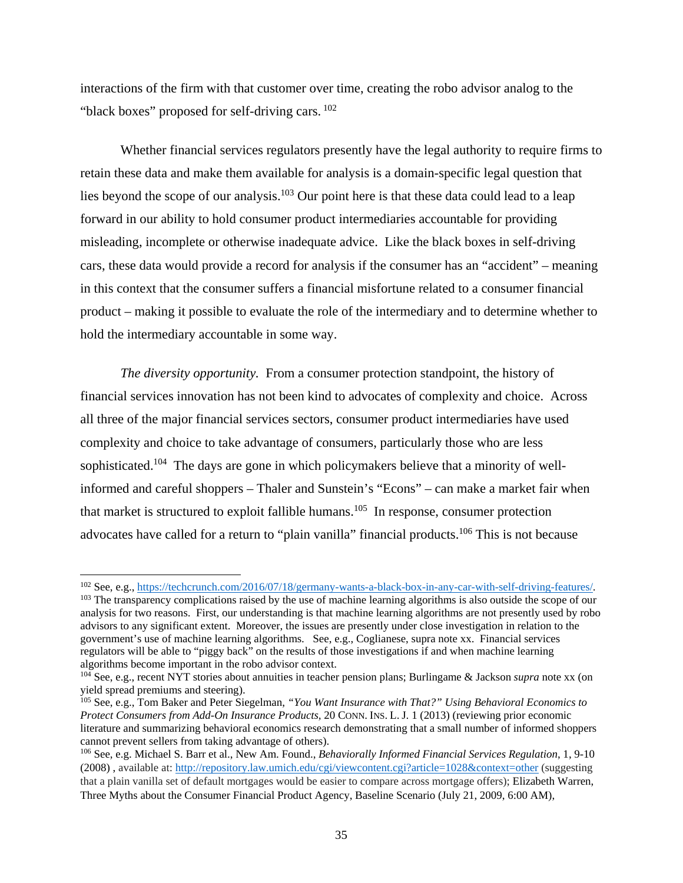interactions of the firm with that customer over time, creating the robo advisor analog to the "black boxes" proposed for self-driving cars.<sup>102</sup>

Whether financial services regulators presently have the legal authority to require firms to retain these data and make them available for analysis is a domain-specific legal question that lies beyond the scope of our analysis.<sup>103</sup> Our point here is that these data could lead to a leap forward in our ability to hold consumer product intermediaries accountable for providing misleading, incomplete or otherwise inadequate advice. Like the black boxes in self-driving cars, these data would provide a record for analysis if the consumer has an "accident" – meaning in this context that the consumer suffers a financial misfortune related to a consumer financial product – making it possible to evaluate the role of the intermediary and to determine whether to hold the intermediary accountable in some way.

*The diversity opportunity.* From a consumer protection standpoint, the history of financial services innovation has not been kind to advocates of complexity and choice. Across all three of the major financial services sectors, consumer product intermediaries have used complexity and choice to take advantage of consumers, particularly those who are less sophisticated.<sup>104</sup> The days are gone in which policymakers believe that a minority of wellinformed and careful shoppers – Thaler and Sunstein's "Econs" – can make a market fair when that market is structured to exploit fallible humans.<sup>105</sup> In response, consumer protection advocates have called for a return to "plain vanilla" financial products.<sup>106</sup> This is not because

 $^{102}$  See, e.g., https://techcrunch.com/2016/07/18/germany-wants-a-black-box-in-any-car-with-self-driving-features/.<br> $^{103}$  The transparency complications raised by the use of machine learning algorithms is also outsid

analysis for two reasons. First, our understanding is that machine learning algorithms are not presently used by robo advisors to any significant extent. Moreover, the issues are presently under close investigation in relation to the government's use of machine learning algorithms. See, e.g., Coglianese, supra note xx. Financial services regulators will be able to "piggy back" on the results of those investigations if and when machine learning algorithms become important in the robo advisor context.

<sup>104</sup> See, e.g., recent NYT stories about annuities in teacher pension plans; Burlingame & Jackson *supra* note xx (on yield spread premiums and steering).

<sup>105</sup> See, e.g., Tom Baker and Peter Siegelman, *"You Want Insurance with That?" Using Behavioral Economics to Protect Consumers from Add-On Insurance Products,* 20 CONN. INS. L. J. 1 (2013) (reviewing prior economic literature and summarizing behavioral economics research demonstrating that a small number of informed shoppers cannot prevent sellers from taking advantage of others).

<sup>106</sup> See, e.g. Michael S. Barr et al., New Am. Found., *Behaviorally Informed Financial Services Regulation*, 1, 9-10 (2008) , available at: http://repository.law.umich.edu/cgi/viewcontent.cgi?article=1028&context=other (suggesting that a plain vanilla set of default mortgages would be easier to compare across mortgage offers); Elizabeth Warren, Three Myths about the Consumer Financial Product Agency, Baseline Scenario (July 21, 2009, 6:00 AM),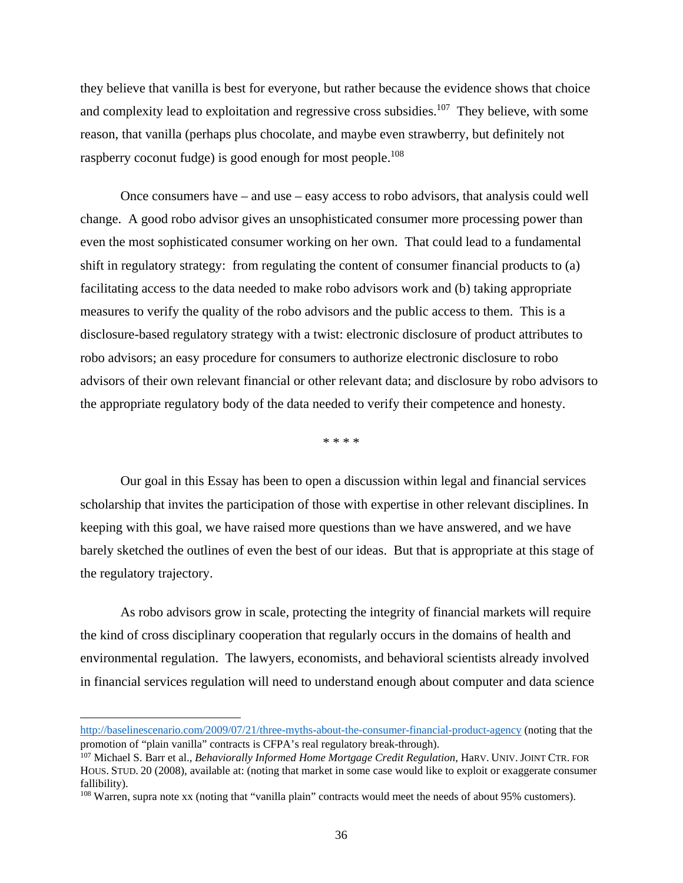they believe that vanilla is best for everyone, but rather because the evidence shows that choice and complexity lead to exploitation and regressive cross subsidies.<sup>107</sup> They believe, with some reason, that vanilla (perhaps plus chocolate, and maybe even strawberry, but definitely not raspberry coconut fudge) is good enough for most people.<sup>108</sup>

Once consumers have – and use – easy access to robo advisors, that analysis could well change. A good robo advisor gives an unsophisticated consumer more processing power than even the most sophisticated consumer working on her own. That could lead to a fundamental shift in regulatory strategy: from regulating the content of consumer financial products to (a) facilitating access to the data needed to make robo advisors work and (b) taking appropriate measures to verify the quality of the robo advisors and the public access to them. This is a disclosure-based regulatory strategy with a twist: electronic disclosure of product attributes to robo advisors; an easy procedure for consumers to authorize electronic disclosure to robo advisors of their own relevant financial or other relevant data; and disclosure by robo advisors to the appropriate regulatory body of the data needed to verify their competence and honesty.

\* \* \* \*

Our goal in this Essay has been to open a discussion within legal and financial services scholarship that invites the participation of those with expertise in other relevant disciplines. In keeping with this goal, we have raised more questions than we have answered, and we have barely sketched the outlines of even the best of our ideas. But that is appropriate at this stage of the regulatory trajectory.

As robo advisors grow in scale, protecting the integrity of financial markets will require the kind of cross disciplinary cooperation that regularly occurs in the domains of health and environmental regulation. The lawyers, economists, and behavioral scientists already involved in financial services regulation will need to understand enough about computer and data science

http://baselinescenario.com/2009/07/21/three-myths-about-the-consumer-financial-product-agency (noting that the promotion of "plain vanilla" contracts is CFPA's real regulatory break-through).

<sup>107</sup> Michael S. Barr et al., *Behaviorally Informed Home Mortgage Credit Regulation*, HaRV. UNIV. JOINT CTR. FOR HOUS. STUD. 20 (2008), available at: (noting that market in some case would like to exploit or exaggerate consumer fallibility).

<sup>&</sup>lt;sup>108</sup> Warren, supra note xx (noting that "vanilla plain" contracts would meet the needs of about 95% customers).